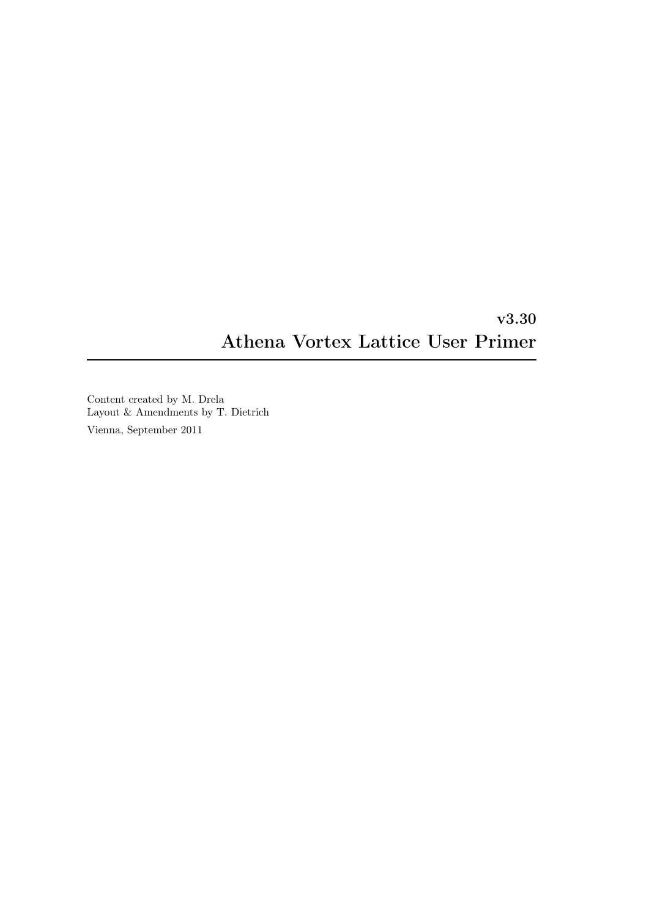# v3.30 Athena Vortex Lattice User Primer

Content created by M. Drela Layout & Amendments by T. Dietrich Vienna, September 2011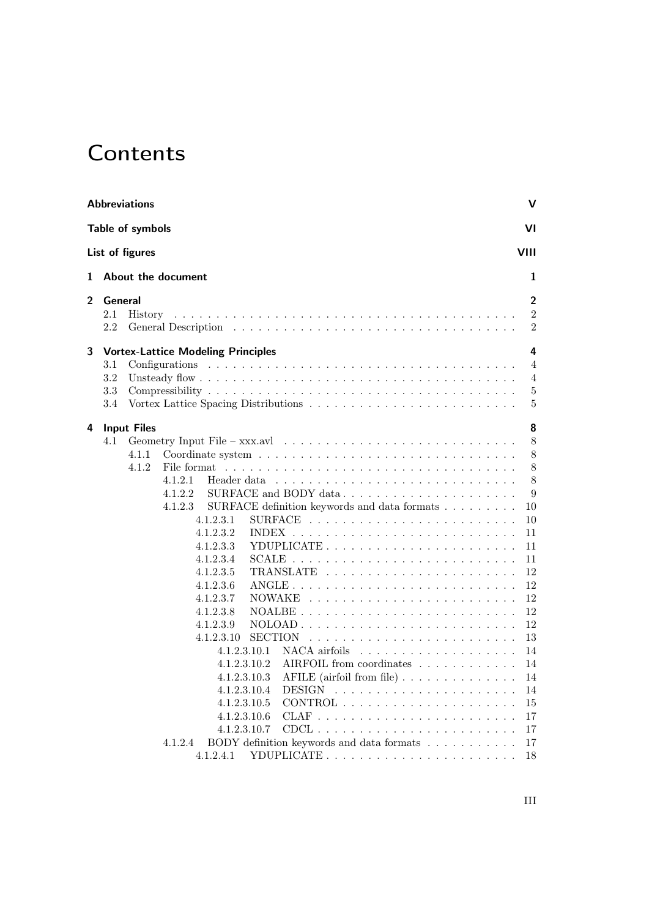# **Contents**

<span id="page-2-0"></span>

|   | <b>Abbreviations</b>                                                                                                                                                                                                                                                                                                                                                                                                                                                                                                                                                                                                                                                                                                                                    | v                                                                                                                                                                 |
|---|---------------------------------------------------------------------------------------------------------------------------------------------------------------------------------------------------------------------------------------------------------------------------------------------------------------------------------------------------------------------------------------------------------------------------------------------------------------------------------------------------------------------------------------------------------------------------------------------------------------------------------------------------------------------------------------------------------------------------------------------------------|-------------------------------------------------------------------------------------------------------------------------------------------------------------------|
|   | Table of symbols                                                                                                                                                                                                                                                                                                                                                                                                                                                                                                                                                                                                                                                                                                                                        | VI                                                                                                                                                                |
|   | List of figures                                                                                                                                                                                                                                                                                                                                                                                                                                                                                                                                                                                                                                                                                                                                         | VIII                                                                                                                                                              |
| 1 | About the document                                                                                                                                                                                                                                                                                                                                                                                                                                                                                                                                                                                                                                                                                                                                      | 1                                                                                                                                                                 |
| 2 | General<br>2.1<br>History<br>2.2                                                                                                                                                                                                                                                                                                                                                                                                                                                                                                                                                                                                                                                                                                                        | $\overline{2}$<br>$\overline{2}$<br>$\overline{2}$                                                                                                                |
| 3 | <b>Vortex-Lattice Modeling Principles</b>                                                                                                                                                                                                                                                                                                                                                                                                                                                                                                                                                                                                                                                                                                               | 4                                                                                                                                                                 |
|   | 3.1<br>3.2<br>3.3<br>3.4                                                                                                                                                                                                                                                                                                                                                                                                                                                                                                                                                                                                                                                                                                                                | $\overline{4}$<br>4<br>5<br>5                                                                                                                                     |
| 4 | <b>Input Files</b><br>4.1<br>4.1.1<br>4.1.2<br>4.1.2.1<br>4.1.2.2<br>4.1.2.3<br>SURFACE definition keywords and data formats $\ldots \ldots \ldots$<br>4.1.2.3.1<br>4.1.2.3.2<br>4.1.2.3.3<br>YDUPLICATE<br>4.1.2.3.4<br>4.1.2.3.5<br>4.1.2.3.6<br>4.1.2.3.7<br><b>NOWAKE</b><br>4.1.2.3.8<br>$NOALBE$<br>and a state<br>4.1.2.3.9<br>$\text{NOLOAD}$<br>4.1.2.3.10<br><b>SECTION</b><br>NACA airfoils $\ldots$ $\ldots$ $\ldots$ $\ldots$ $\ldots$ $\ldots$<br>4.1.2.3.10.1<br>4.1.2.3.10.2<br>AIRFOIL from coordinates<br>4.1.2.3.10.3<br>AFILE (airfoil from file) $\ldots \ldots \ldots \ldots$<br>4.1.2.3.10.4<br>4.1.2.3.10.5<br>$CONTROL$ ,<br>4.1.2.3.10.6<br>4.1.2.3.10.7<br>BODY definition keywords and data formats<br>4.1.2.4<br>4.1.2.4.1 | 8<br>8<br>8<br>8<br>8<br>$\boldsymbol{9}$<br>10<br>10<br>11<br>11<br>11<br>12<br>12<br>12<br>12<br>12<br>13<br>14<br>14<br>14<br>14<br>15<br>17<br>17<br>17<br>18 |

III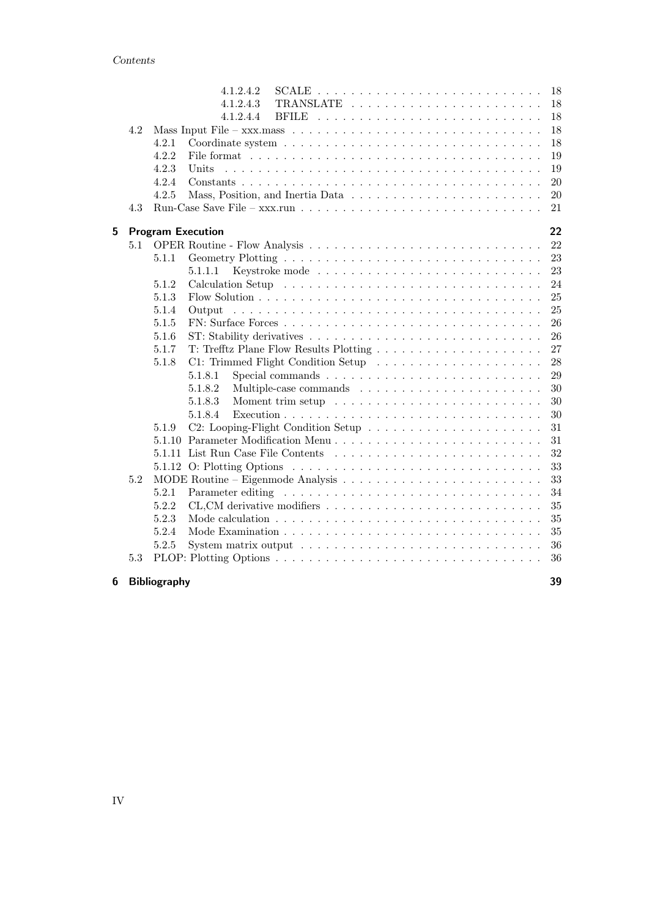|   |     | 4.1.2.4.2                                                                                   | 18     |
|---|-----|---------------------------------------------------------------------------------------------|--------|
|   |     | 4.1.2.4.3                                                                                   | 18     |
|   |     | 4.1.2.4.4                                                                                   | 18     |
|   | 4.2 |                                                                                             | 18     |
|   |     | 4.2.1                                                                                       | 18     |
|   |     | 4.2.2                                                                                       | 19     |
|   |     | 4.2.3<br>Units                                                                              | 19     |
|   |     | 4.2.4                                                                                       | 20     |
|   |     | 4.2.5                                                                                       | $20\,$ |
|   | 4.3 |                                                                                             | 21     |
|   |     |                                                                                             |        |
| 5 |     | <b>Program Execution</b>                                                                    | 22     |
|   | 5.1 |                                                                                             | 22     |
|   |     | 5.1.1                                                                                       | 23     |
|   |     | 5.1.1.1                                                                                     | 23     |
|   |     | 5.1.2                                                                                       | 24     |
|   |     | 5.1.3                                                                                       | 25     |
|   |     | 5.1.4<br>Output                                                                             | $25\,$ |
|   |     | 5.1.5                                                                                       | 26     |
|   |     | 5.1.6                                                                                       | 26     |
|   |     | 5.1.7                                                                                       | 27     |
|   |     | 5.1.8                                                                                       | 28     |
|   |     | 5.1.8.1                                                                                     | $\,29$ |
|   |     | 5.1.8.2                                                                                     | $30\,$ |
|   |     | 5.1.8.3                                                                                     | $30\,$ |
|   |     | 5.1.8.4                                                                                     | 30     |
|   |     | 5.1.9                                                                                       | 31     |
|   |     |                                                                                             | 31     |
|   |     |                                                                                             | 32     |
|   |     |                                                                                             | 33     |
|   | 5.2 |                                                                                             | 33     |
|   |     | 5.2.1                                                                                       | 34     |
|   |     | 5.2.2                                                                                       | 35     |
|   |     | 5.2.3                                                                                       | 35     |
|   |     | 5.2.4                                                                                       | 35     |
|   |     | 5.2.5<br>System matrix output $\dots \dots \dots \dots \dots \dots \dots \dots \dots \dots$ | 36     |
|   | 5.3 |                                                                                             | 36     |
| 6 |     | <b>Bibliography</b>                                                                         | 39     |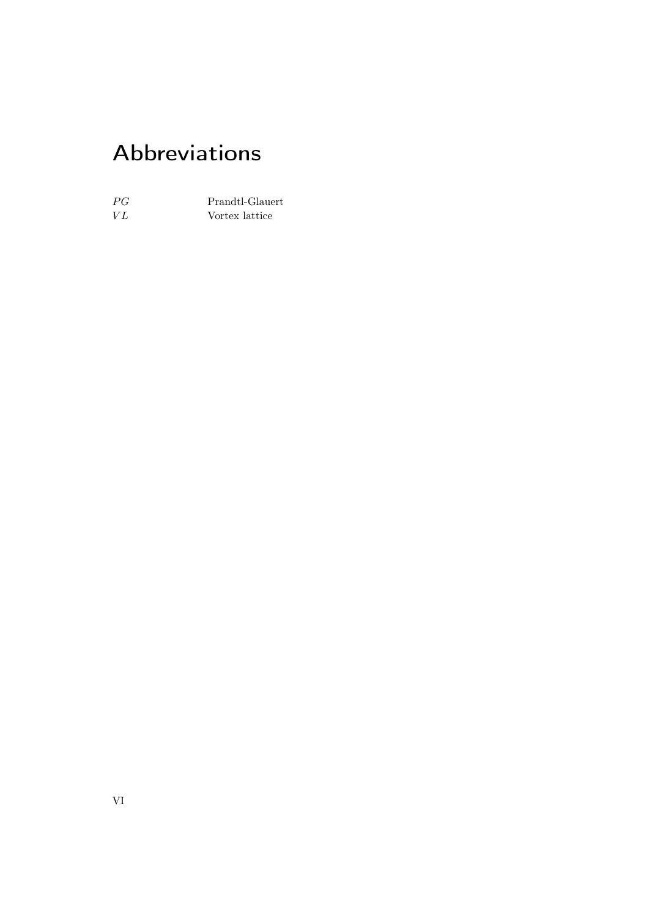# Abbreviations

<span id="page-5-0"></span>

| PG | Prandtl-Glauert |
|----|-----------------|
| VI | Vortex lattice  |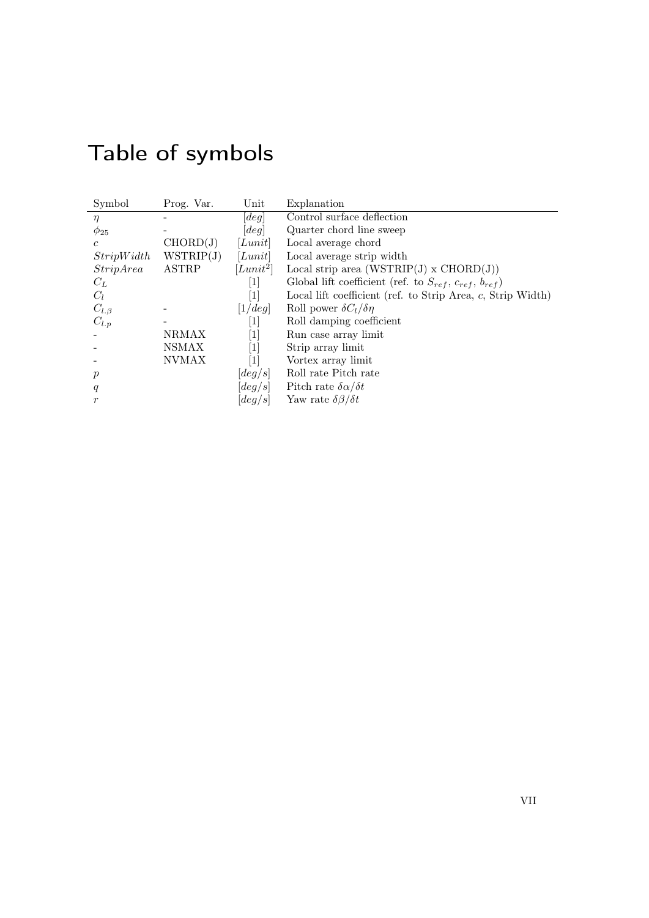|  |  | Table of symbols |  |
|--|--|------------------|--|
|  |  |                  |  |

<span id="page-6-0"></span>

| Symbol         | Prog. Var.   | Unit                         | Explanation                                                          |
|----------------|--------------|------------------------------|----------------------------------------------------------------------|
| $\eta$         |              | [deg]                        | Control surface deflection                                           |
| $\phi_{25}$    |              | [deg]                        | Quarter chord line sweep                                             |
| $\mathfrak{c}$ | CHORD(J)     | [Lunit]                      | Local average chord                                                  |
| StripWidth     | WSTRIP(J)    | [Lunit]                      | Local average strip width                                            |
| StripArea      | <b>ASTRP</b> | $[Lunit^2]$                  | Local strip area $(WSTRIP(J) \times CHORD(J))$                       |
| $C_L$          |              | $\left\lceil 1 \right\rceil$ | Global lift coefficient (ref. to $S_{ref}$ , $c_{ref}$ , $b_{ref}$ ) |
| $C_l$          |              | $\lceil 1 \rceil$            | Local lift coefficient (ref. to Strip Area, $c$ , Strip Width)       |
| $C_{l,\beta}$  |              | [1/deg]                      | Roll power $\delta C_l/\delta \eta$                                  |
| $C_{l,p}$      |              | $\vert 1 \vert$              | Roll damping coefficient                                             |
|                | NRMAX        | [1]                          | Run case array limit                                                 |
|                | <b>NSMAX</b> | [1]                          | Strip array limit                                                    |
|                | <b>NVMAX</b> | $[1]$                        | Vortex array limit                                                   |
| $\mathcal{P}$  |              | $\lceil deg/s \rceil$        | Roll rate Pitch rate                                                 |
| q              |              | $\left[deg/s\right]$         | Pitch rate $\delta \alpha / \delta t$                                |
| $\mathfrak{r}$ |              | $\lbrack deg/s \rbrack$      | Yaw rate $\delta\beta/\delta t$                                      |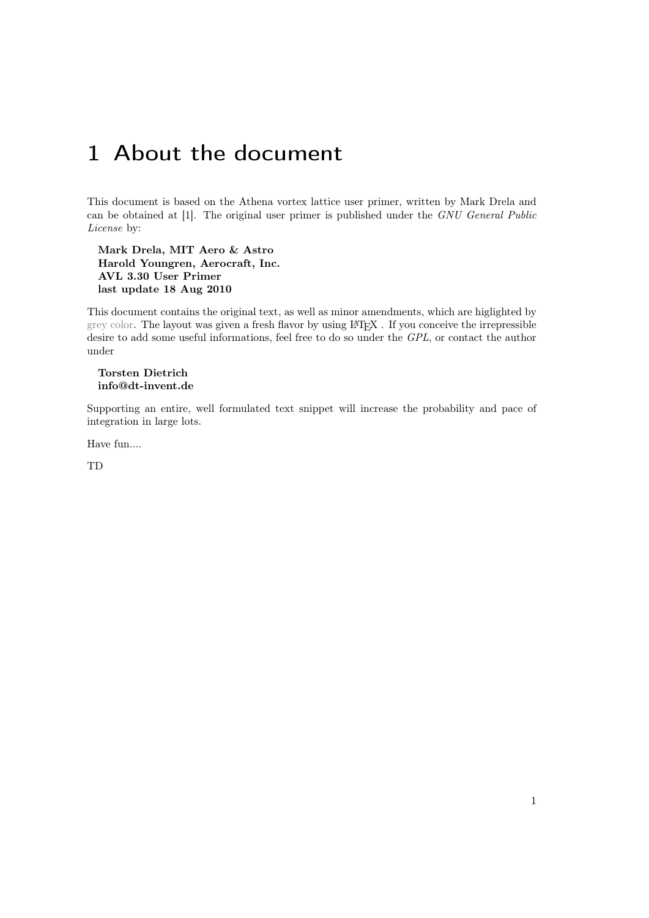# <span id="page-8-0"></span>1 About the document

This document is based on the Athena vortex lattice user primer, written by Mark Drela and can be obtained at [\[1\]](#page-46-1). The original user primer is published under the GNU General Public License by:

Mark Drela, MIT Aero & Astro Harold Youngren, Aerocraft, Inc. AVL 3.30 User Primer last update 18 Aug 2010

This document contains the original text, as well as minor amendments, which are higlighted by grey color. The layout was given a fresh flavor by using LATEX . If you conceive the irrepressible desire to add some useful informations, feel free to do so under the GPL, or contact the author under

### Torsten Dietrich info@dt-invent.de

Supporting an entire, well formulated text snippet will increase the probability and pace of integration in large lots.

Have fun....

TD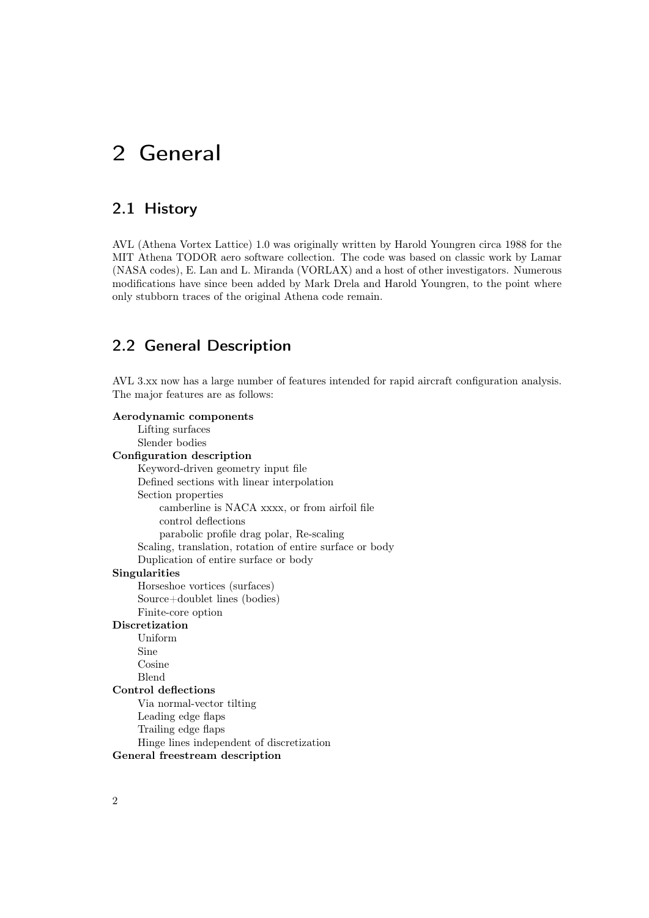# <span id="page-9-0"></span>2 General

## <span id="page-9-1"></span>2.1 History

AVL (Athena Vortex Lattice) 1.0 was originally written by Harold Youngren circa 1988 for the MIT Athena TODOR aero software collection. The code was based on classic work by Lamar (NASA codes), E. Lan and L. Miranda (VORLAX) and a host of other investigators. Numerous modifications have since been added by Mark Drela and Harold Youngren, to the point where only stubborn traces of the original Athena code remain.

## <span id="page-9-2"></span>2.2 General Description

AVL 3.xx now has a large number of features intended for rapid aircraft configuration analysis. The major features are as follows:

Aerodynamic components Lifting surfaces Slender bodies Configuration description Keyword-driven geometry input file Defined sections with linear interpolation Section properties camberline is NACA xxxx, or from airfoil file control deflections parabolic profile drag polar, Re-scaling Scaling, translation, rotation of entire surface or body Duplication of entire surface or body Singularities Horseshoe vortices (surfaces) Source+doublet lines (bodies) Finite-core option Discretization Uniform Sine Cosine Blend Control deflections Via normal-vector tilting Leading edge flaps Trailing edge flaps Hinge lines independent of discretization General freestream description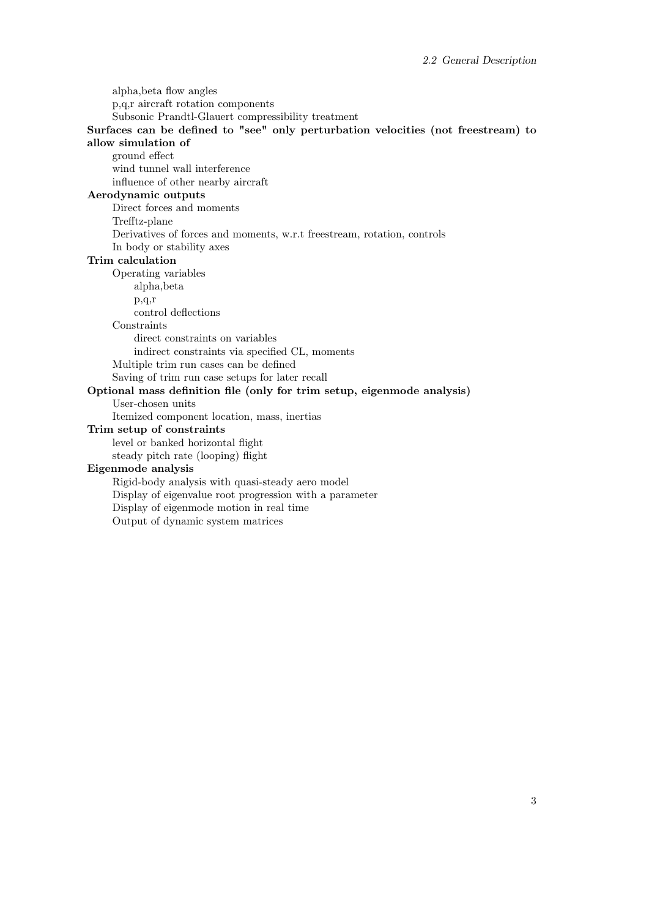alpha,beta flow angles p,q,r aircraft rotation components Subsonic Prandtl-Glauert compressibility treatment Surfaces can be defined to "see" only perturbation velocities (not freestream) to allow simulation of ground effect wind tunnel wall interference influence of other nearby aircraft Aerodynamic outputs Direct forces and moments Trefftz-plane Derivatives of forces and moments, w.r.t freestream, rotation, controls In body or stability axes Trim calculation Operating variables alpha,beta p,q,r control deflections **Constraints** direct constraints on variables indirect constraints via specified CL, moments Multiple trim run cases can be defined Saving of trim run case setups for later recall Optional mass definition file (only for trim setup, eigenmode analysis) User-chosen units Itemized component location, mass, inertias Trim setup of constraints level or banked horizontal flight steady pitch rate (looping) flight Eigenmode analysis Rigid-body analysis with quasi-steady aero model Display of eigenvalue root progression with a parameter Display of eigenmode motion in real time Output of dynamic system matrices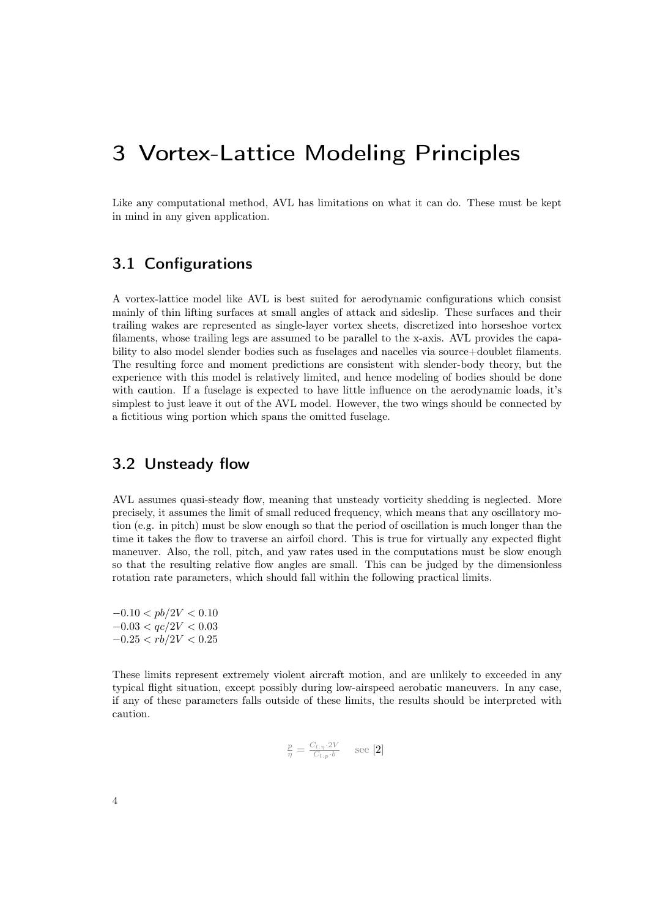# <span id="page-11-0"></span>3 Vortex-Lattice Modeling Principles

Like any computational method, AVL has limitations on what it can do. These must be kept in mind in any given application.

## <span id="page-11-1"></span>3.1 Configurations

A vortex-lattice model like AVL is best suited for aerodynamic configurations which consist mainly of thin lifting surfaces at small angles of attack and sideslip. These surfaces and their trailing wakes are represented as single-layer vortex sheets, discretized into horseshoe vortex filaments, whose trailing legs are assumed to be parallel to the x-axis. AVL provides the capability to also model slender bodies such as fuselages and nacelles via source+doublet filaments. The resulting force and moment predictions are consistent with slender-body theory, but the experience with this model is relatively limited, and hence modeling of bodies should be done with caution. If a fuselage is expected to have little influence on the aerodynamic loads, it's simplest to just leave it out of the AVL model. However, the two wings should be connected by a fictitious wing portion which spans the omitted fuselage.

## <span id="page-11-2"></span>3.2 Unsteady flow

AVL assumes quasi-steady flow, meaning that unsteady vorticity shedding is neglected. More precisely, it assumes the limit of small reduced frequency, which means that any oscillatory motion (e.g. in pitch) must be slow enough so that the period of oscillation is much longer than the time it takes the flow to traverse an airfoil chord. This is true for virtually any expected flight maneuver. Also, the roll, pitch, and yaw rates used in the computations must be slow enough so that the resulting relative flow angles are small. This can be judged by the dimensionless rotation rate parameters, which should fall within the following practical limits.

 $-0.10 < pb/2V < 0.10$  $-0.03 < qc/2V < 0.03$  $-0.25 < rb/2V < 0.25$ 

These limits represent extremely violent aircraft motion, and are unlikely to exceeded in any typical flight situation, except possibly during low-airspeed aerobatic maneuvers. In any case, if any of these parameters falls outside of these limits, the results should be interpreted with caution.

$$
\frac{p}{\eta} = \frac{C_{l.\eta} \cdot 2V}{C_{l.p} \cdot b} \quad \text{see [2]}
$$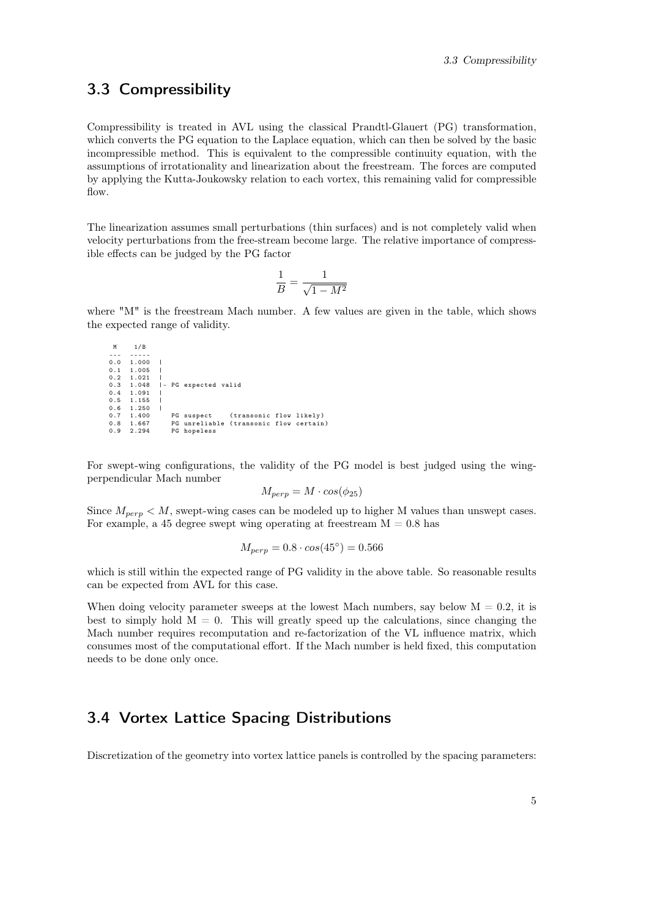## <span id="page-12-0"></span>3.3 Compressibility

Compressibility is treated in AVL using the classical Prandtl-Glauert (PG) transformation, which converts the PG equation to the Laplace equation, which can then be solved by the basic incompressible method. This is equivalent to the compressible continuity equation, with the assumptions of irrotationality and linearization about the freestream. The forces are computed by applying the Kutta-Joukowsky relation to each vortex, this remaining valid for compressible flow.

The linearization assumes small perturbations (thin surfaces) and is not completely valid when velocity perturbations from the free-stream become large. The relative importance of compressible effects can be judged by the PG factor

$$
\frac{1}{B}=\frac{1}{\sqrt{1-M^2}}
$$

where "M" is the freestream Mach number. A few values are given in the table, which shows the expected range of validity.

```
M 1/ B
--- -----
0.0 1.000 |
0.1 1.005<br>0.2 1.021
\begin{array}{ccc} 0.2 & 1.021 \\ 0.3 & 1.048 \end{array}0.3 1.048 |- PG expected valid<br>0.4 1.091 |
       1.091
0.5 1.155<br>0.6 1.250<br>0.7 1.400
       1.250<br>1.400
0.7 1.400 PG suspect ( transonic flow likely )
0.8 1.667 PG unreliable ( transonic flow certain )
0.9 2.294 PG hopeless
```
For swept-wing configurations, the validity of the PG model is best judged using the wingperpendicular Mach number

$$
M_{perp} = M \cdot cos(\phi_{25})
$$

Since  $M_{\text{perp}} \lt M$ , swept-wing cases can be modeled up to higher M values than unswept cases. For example, a 45 degree swept wing operating at freestream  $M = 0.8$  has

$$
M_{perp} = 0.8 \cdot \cos(45^\circ) = 0.566
$$

which is still within the expected range of PG validity in the above table. So reasonable results can be expected from AVL for this case.

When doing velocity parameter sweeps at the lowest Mach numbers, say below  $M = 0.2$ , it is best to simply hold  $M = 0$ . This will greatly speed up the calculations, since changing the Mach number requires recomputation and re-factorization of the VL influence matrix, which consumes most of the computational effort. If the Mach number is held fixed, this computation needs to be done only once.

## <span id="page-12-1"></span>3.4 Vortex Lattice Spacing Distributions

Discretization of the geometry into vortex lattice panels is controlled by the spacing parameters: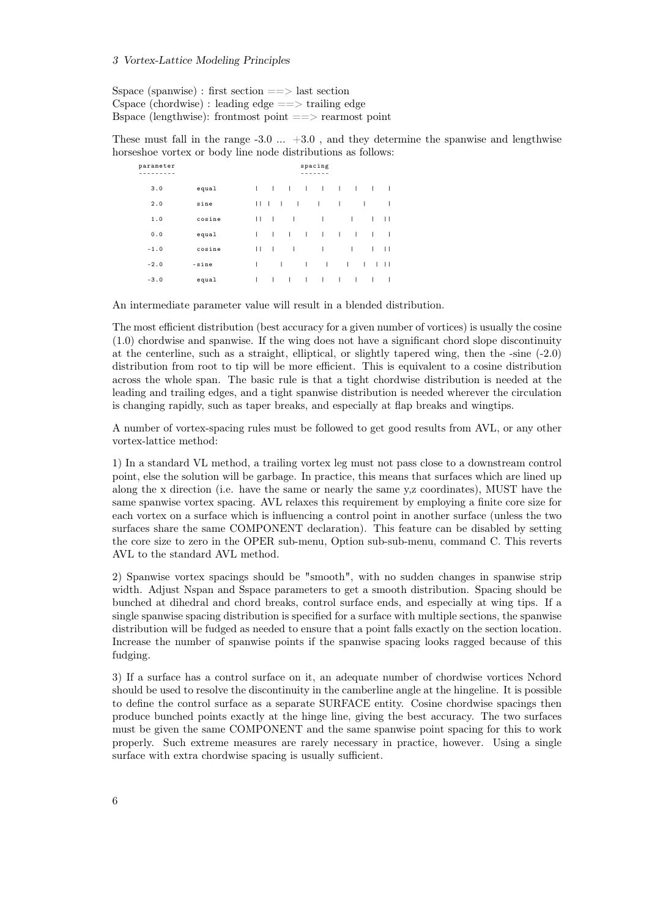#### 3 Vortex-Lattice Modeling Principles

Sspace (spanwise) : first section  $==$  last section Cspace (chordwise) : leading edge  $=\equiv$  trailing edge Bspace (lengthwise): frontmost point  $=$  => rearmost point

These must fall in the range  $-3.0 \ldots +3.0$ , and they determine the spanwise and lengthwise horseshoe vortex or body line node distributions as follows:

| parameter |        |   |              |              |                          | spacing        |          |              |           |              |              |
|-----------|--------|---|--------------|--------------|--------------------------|----------------|----------|--------------|-----------|--------------|--------------|
| 3.0       | equal  | L | $\sim$ 1     | $-1$         | <b>Contract Contract</b> | $\mathbf{I}$   | $\sim 1$ | $\sim 1$     | $\sim$ 1. |              | L            |
| 2.0       | sine   | П | $\Box$       | -1           | $\mathbf{I}$             | Т              | I        |              | T         |              | ı            |
| 1.0       | cosine | П | $\mathbf{1}$ |              | $\mathbf{I}$             | T              |          | $\mathbf{I}$ |           | $\mathbf{L}$ | $\perp$      |
| 0.0       | equal  | L | $\mathbf{L}$ | $\mathbf{1}$ | $\Box$                   | $\blacksquare$ | L        | $\mathbf{I}$ |           | Т            | L            |
| $-1.0$    | cosine | П | $\Box$       |              | $\mathbf{I}$             | T              |          | I            |           | $\mathbf{L}$ | $\mathbf{H}$ |
| $-2.0$    | -sine  | L |              | т            | I                        | $\overline{1}$ |          | Т            | L         | L            | П            |
| $-3.0$    | equal  | L | $\mathbf{I}$ | т            | T                        | T              | т        | $\mathbf{I}$ |           | ı            | ı            |

An intermediate parameter value will result in a blended distribution.

The most efficient distribution (best accuracy for a given number of vortices) is usually the cosine (1.0) chordwise and spanwise. If the wing does not have a significant chord slope discontinuity at the centerline, such as a straight, elliptical, or slightly tapered wing, then the -sine (-2.0) distribution from root to tip will be more efficient. This is equivalent to a cosine distribution across the whole span. The basic rule is that a tight chordwise distribution is needed at the leading and trailing edges, and a tight spanwise distribution is needed wherever the circulation is changing rapidly, such as taper breaks, and especially at flap breaks and wingtips.

A number of vortex-spacing rules must be followed to get good results from AVL, or any other vortex-lattice method:

1) In a standard VL method, a trailing vortex leg must not pass close to a downstream control point, else the solution will be garbage. In practice, this means that surfaces which are lined up along the x direction (i.e. have the same or nearly the same y,z coordinates), MUST have the same spanwise vortex spacing. AVL relaxes this requirement by employing a finite core size for each vortex on a surface which is influencing a control point in another surface (unless the two surfaces share the same COMPONENT declaration). This feature can be disabled by setting the core size to zero in the OPER sub-menu, Option sub-sub-menu, command C. This reverts AVL to the standard AVL method.

2) Spanwise vortex spacings should be "smooth", with no sudden changes in spanwise strip width. Adjust Nspan and Sspace parameters to get a smooth distribution. Spacing should be bunched at dihedral and chord breaks, control surface ends, and especially at wing tips. If a single spanwise spacing distribution is specified for a surface with multiple sections, the spanwise distribution will be fudged as needed to ensure that a point falls exactly on the section location. Increase the number of spanwise points if the spanwise spacing looks ragged because of this fudging.

3) If a surface has a control surface on it, an adequate number of chordwise vortices Nchord should be used to resolve the discontinuity in the camberline angle at the hingeline. It is possible to define the control surface as a separate SURFACE entity. Cosine chordwise spacings then produce bunched points exactly at the hinge line, giving the best accuracy. The two surfaces must be given the same COMPONENT and the same spanwise point spacing for this to work properly. Such extreme measures are rarely necessary in practice, however. Using a single surface with extra chordwise spacing is usually sufficient.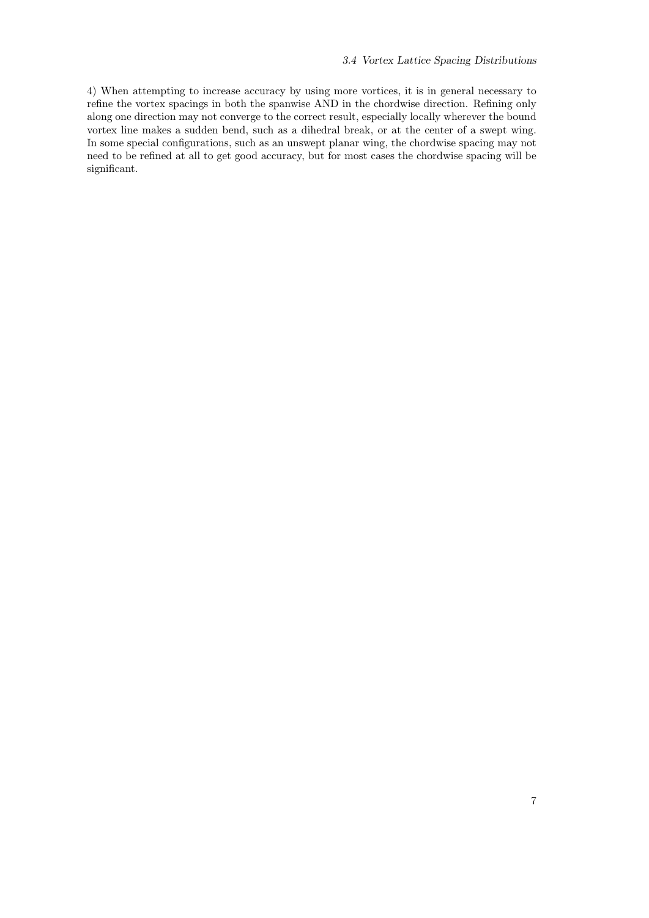4) When attempting to increase accuracy by using more vortices, it is in general necessary to refine the vortex spacings in both the spanwise AND in the chordwise direction. Refining only along one direction may not converge to the correct result, especially locally wherever the bound vortex line makes a sudden bend, such as a dihedral break, or at the center of a swept wing. In some special configurations, such as an unswept planar wing, the chordwise spacing may not need to be refined at all to get good accuracy, but for most cases the chordwise spacing will be significant.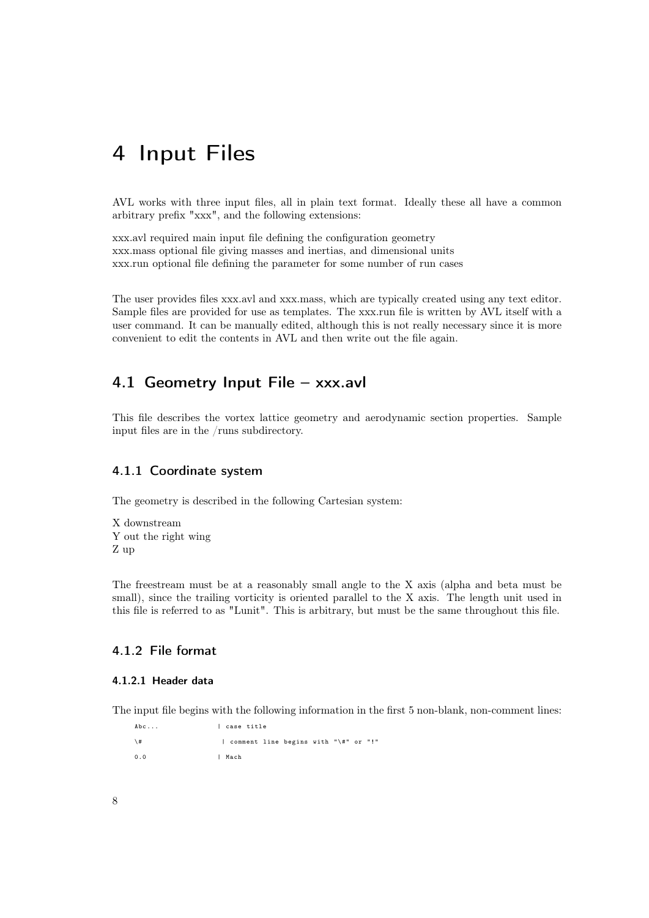# <span id="page-15-0"></span>4 Input Files

AVL works with three input files, all in plain text format. Ideally these all have a common arbitrary prefix "xxx", and the following extensions:

xxx.avl required main input file defining the configuration geometry xxx.mass optional file giving masses and inertias, and dimensional units xxx.run optional file defining the parameter for some number of run cases

The user provides files xxx.avl and xxx.mass, which are typically created using any text editor. Sample files are provided for use as templates. The xxx.run file is written by AVL itself with a user command. It can be manually edited, although this is not really necessary since it is more convenient to edit the contents in AVL and then write out the file again.

## <span id="page-15-1"></span>4.1 Geometry Input File – xxx.avl

This file describes the vortex lattice geometry and aerodynamic section properties. Sample input files are in the /runs subdirectory.

## <span id="page-15-2"></span>4.1.1 Coordinate system

The geometry is described in the following Cartesian system:

X downstream Y out the right wing Z up

The freestream must be at a reasonably small angle to the X axis (alpha and beta must be small), since the trailing vorticity is oriented parallel to the X axis. The length unit used in this file is referred to as "Lunit". This is arbitrary, but must be the same throughout this file.

## <span id="page-15-3"></span>4.1.2 File format

## <span id="page-15-4"></span>4.1.2.1 Header data

The input file begins with the following information in the first 5 non-blank, non-comment lines:

Abc... | case title \# | comment line begins with "\#" or "!" 0.0 | Mach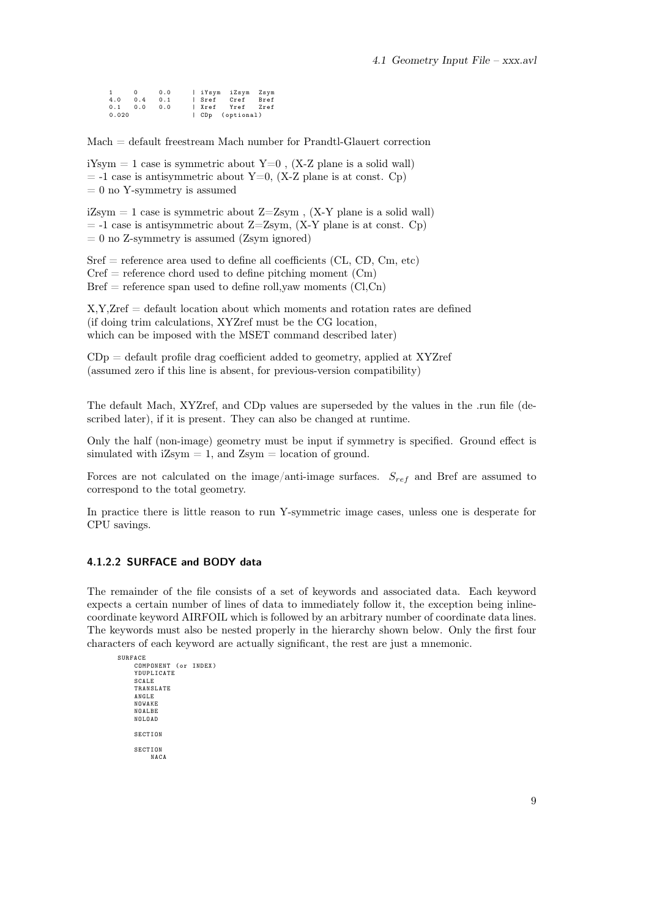|       | $^{\circ}$ | 0.0 |        | iYsym iZsym Zsym |      |
|-------|------------|-----|--------|------------------|------|
| 4.0   | 0.4        | 0.1 | l Sref | Cref             | Bref |
| 0.1   | 0.0        | 0.0 |        | Xref Yref Zref   |      |
| 0.020 |            |     |        | CDp (optional)   |      |

Mach = default freestream Mach number for Prandtl-Glauert correction

iYsym  $= 1$  case is symmetric about Y=0, (X-Z plane is a solid wall)  $=$  -1 case is antisymmetric about Y=0, (X-Z plane is at const. Cp)  $= 0$  no Y-symmetry is assumed

 $iZsym = 1$  case is symmetric about  $Z = Zsym$ ,  $(X-Y)$  plane is a solid wall)  $=$  -1 case is antisymmetric about Z=Zsym, (X-Y plane is at const. Cp)  $= 0$  no Z-symmetry is assumed (Zsym ignored)

 $Sref = reference area used to define all coefficients (CL, CD, Cm, etc)$  $Cref$  = reference chord used to define pitching moment  $(Cm)$  $Bref = reference span used to define roll,$ yaw moments  $(Cl, Cn)$ 

X,Y,Zref = default location about which moments and rotation rates are defined (if doing trim calculations, XYZref must be the CG location, which can be imposed with the MSET command described later)

 $CDp =$  default profile drag coefficient added to geometry, applied at XYZref (assumed zero if this line is absent, for previous-version compatibility)

The default Mach, XYZref, and CDp values are superseded by the values in the .run file (described later), if it is present. They can also be changed at runtime.

Only the half (non-image) geometry must be input if symmetry is specified. Ground effect is simulated with  $iZsym = 1$ , and  $Zsym = location of ground$ .

Forces are not calculated on the image/anti-image surfaces.  $S_{ref}$  and Bref are assumed to correspond to the total geometry.

In practice there is little reason to run Y-symmetric image cases, unless one is desperate for CPU savings.

#### <span id="page-16-0"></span>4.1.2.2 SURFACE and BODY data

The remainder of the file consists of a set of keywords and associated data. Each keyword expects a certain number of lines of data to immediately follow it, the exception being inlinecoordinate keyword AIRFOIL which is followed by an arbitrary number of coordinate data lines. The keywords must also be nested properly in the hierarchy shown below. Only the first four characters of each keyword are actually significant, the rest are just a mnemonic.

```
SURFACE
     COMPONENT ( or INDEX )
YDUPLICATE
     SCALE
TRANSLATE
     ANGLE
     NOWAKE
     NOALBE
     NOLOAD
     SECTION
     SECTION
          NACA
```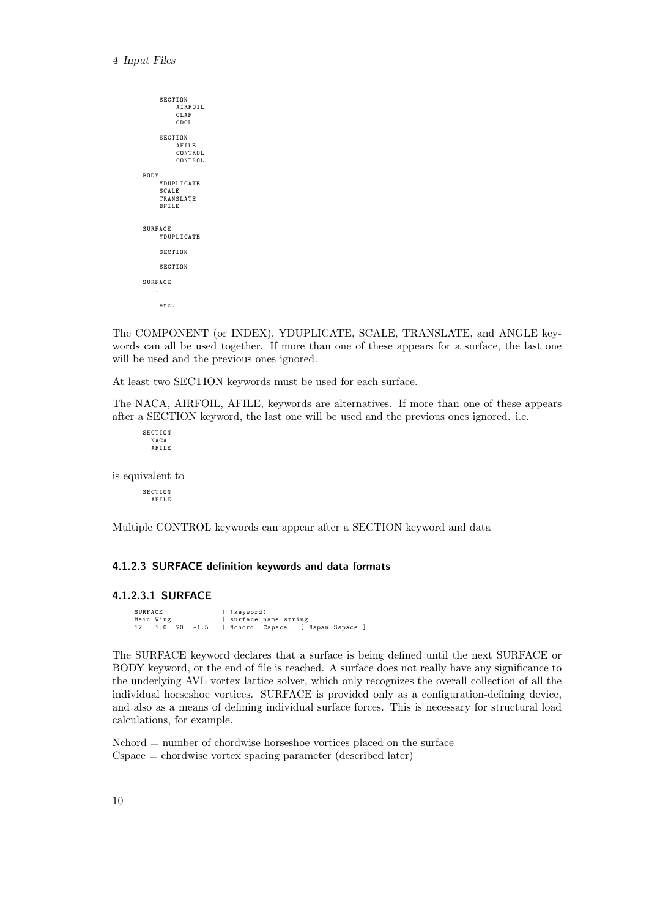```
SECTION
         AIRFOIL
CLAF
         CDCL
    SECTION
         AFILE
         CONTROL
         CONTROL
BODY
    YDUPLICATE
    SCALE
    TRANSLATE
    BFILE
SURFACE
YDUPLICATE
    SECTION
    SECTION
SURFACE
   .
   .
    etc .
```
The COMPONENT (or INDEX), YDUPLICATE, SCALE, TRANSLATE, and ANGLE keywords can all be used together. If more than one of these appears for a surface, the last one will be used and the previous ones ignored.

At least two SECTION keywords must be used for each surface.

The NACA, AIRFOIL, AFILE, keywords are alternatives. If more than one of these appears after a SECTION keyword, the last one will be used and the previous ones ignored. i.e.

SECTION NACA AFILE

is equivalent to

SECTION AFILE

Multiple CONTROL keywords can appear after a SECTION keyword and data

### <span id="page-17-0"></span>4.1.2.3 SURFACE definition keywords and data formats

#### <span id="page-17-1"></span>4.1.2.3.1 SURFACE

```
SURFACE | (keyword)<br>
Main Wing | surface n
                      | surface name string
12 1.0 20 -1.5 | Nchord Cspace [ Nspan Sspace ]
```
The SURFACE keyword declares that a surface is being defined until the next SURFACE or BODY keyword, or the end of file is reached. A surface does not really have any significance to the underlying AVL vortex lattice solver, which only recognizes the overall collection of all the individual horseshoe vortices. SURFACE is provided only as a configuration-defining device, and also as a means of defining individual surface forces. This is necessary for structural load calculations, for example.

 $Nchord = number of chordwise horses, however, and the surface$ Cspace = chordwise vortex spacing parameter (described later)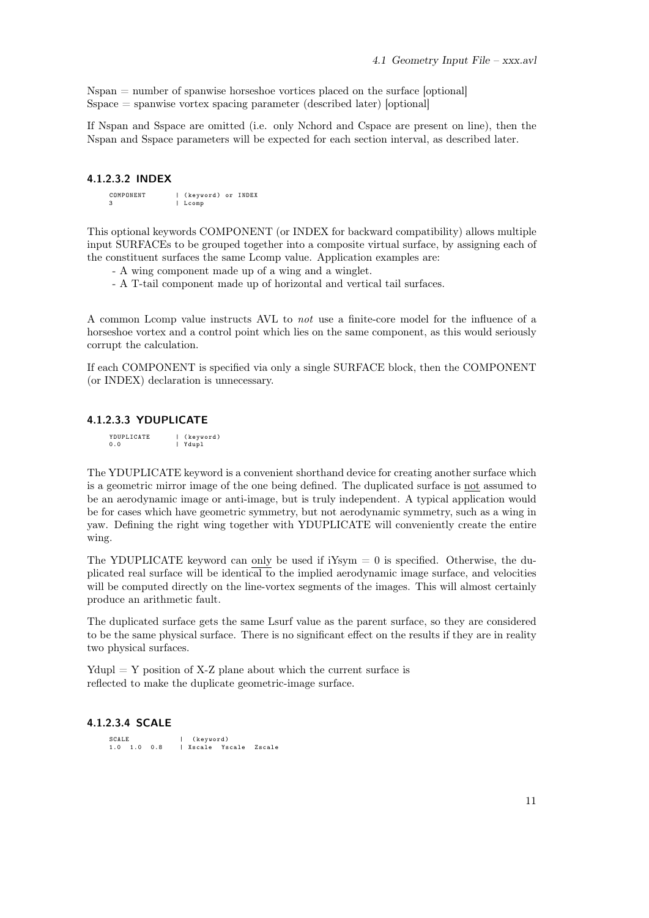$N$ span  $=$  number of spanwise horseshoe vortices placed on the surface [optional]  $Sspace = spanwise vortex spacing parameter (described later) [optional]$ 

If Nspan and Sspace are omitted (i.e. only Nchord and Cspace are present on line), then the Nspan and Sspace parameters will be expected for each section interval, as described later.

### <span id="page-18-0"></span>4.1.2.3.2 INDEX

COMPONENT | (keyword) or INDEX 3 | Lcomp

This optional keywords COMPONENT (or INDEX for backward compatibility) allows multiple input SURFACEs to be grouped together into a composite virtual surface, by assigning each of the constituent surfaces the same Lcomp value. Application examples are:

- A wing component made up of a wing and a winglet.

- A T-tail component made up of horizontal and vertical tail surfaces.

A common Lcomp value instructs AVL to not use a finite-core model for the influence of a horseshoe vortex and a control point which lies on the same component, as this would seriously corrupt the calculation.

If each COMPONENT is specified via only a single SURFACE block, then the COMPONENT (or INDEX) declaration is unnecessary.

#### <span id="page-18-1"></span>4.1.2.3.3 YDUPLICATE

YDUPLICATE | (keyword)<br>0.0 | Ydupl .<br>1 Ydupl

The YDUPLICATE keyword is a convenient shorthand device for creating another surface which is a geometric mirror image of the one being defined. The duplicated surface is not assumed to be an aerodynamic image or anti-image, but is truly independent. A typical application would be for cases which have geometric symmetry, but not aerodynamic symmetry, such as a wing in yaw. Defining the right wing together with YDUPLICATE will conveniently create the entire wing.

The YDUPLICATE keyword can only be used if  $iYsym = 0$  is specified. Otherwise, the duplicated real surface will be identical to the implied aerodynamic image surface, and velocities will be computed directly on the line-vortex segments of the images. This will almost certainly produce an arithmetic fault.

The duplicated surface gets the same Lsurf value as the parent surface, so they are considered to be the same physical surface. There is no significant effect on the results if they are in reality two physical surfaces.

 $Ydupl = Y$  position of X-Z plane about which the current surface is reflected to make the duplicate geometric-image surface.

#### <span id="page-18-2"></span>4.1.2.3.4 SCALE

SCALE | (keyword)<br>1.0 1.0 0.8 | Xscale Ys | Xscale Yscale Zscale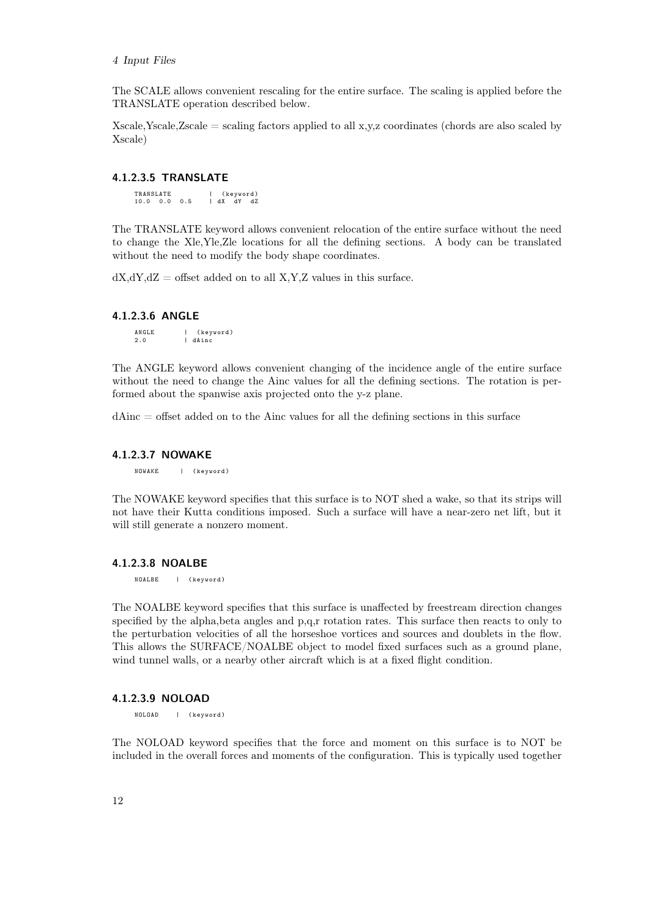#### 4 Input Files

The SCALE allows convenient rescaling for the entire surface. The scaling is applied before the TRANSLATE operation described below.

Xscale, Yscale, Zscale = scaling factors applied to all  $x,y,z$  coordinates (chords are also scaled by Xscale)

## <span id="page-19-0"></span>4.1.2.3.5 TRANSLATE

TRANSLATE | (keyword)<br>10.0 0.0 0.5 | dX dY dZ  $10.0 \t 0.0 \t 0.5$ 

The TRANSLATE keyword allows convenient relocation of the entire surface without the need to change the Xle,Yle,Zle locations for all the defining sections. A body can be translated without the need to modify the body shape coordinates.

 $dX, dY, dZ =$  offset added on to all X,Y,Z values in this surface.

#### <span id="page-19-1"></span>4.1.2.3.6 ANGLE

ANGLE | (keyword)<br>2.0 | dAinc | dAinc

The ANGLE keyword allows convenient changing of the incidence angle of the entire surface without the need to change the Ainc values for all the defining sections. The rotation is performed about the spanwise axis projected onto the y-z plane.

dAinc = offset added on to the Ainc values for all the defining sections in this surface

#### <span id="page-19-2"></span>4.1.2.3.7 NOWAKE

NOWAKE | ( keyword )

The NOWAKE keyword specifies that this surface is to NOT shed a wake, so that its strips will not have their Kutta conditions imposed. Such a surface will have a near-zero net lift, but it will still generate a nonzero moment.

#### <span id="page-19-3"></span>4.1.2.3.8 NOALBE

NOALBE | ( keyword )

The NOALBE keyword specifies that this surface is unaffected by freestream direction changes specified by the alpha,beta angles and p,q,r rotation rates. This surface then reacts to only to the perturbation velocities of all the horseshoe vortices and sources and doublets in the flow. This allows the SURFACE/NOALBE object to model fixed surfaces such as a ground plane, wind tunnel walls, or a nearby other aircraft which is at a fixed flight condition.

#### <span id="page-19-4"></span>4.1.2.3.9 NOLOAD

NOLOAD | (keyword)

The NOLOAD keyword specifies that the force and moment on this surface is to NOT be included in the overall forces and moments of the configuration. This is typically used together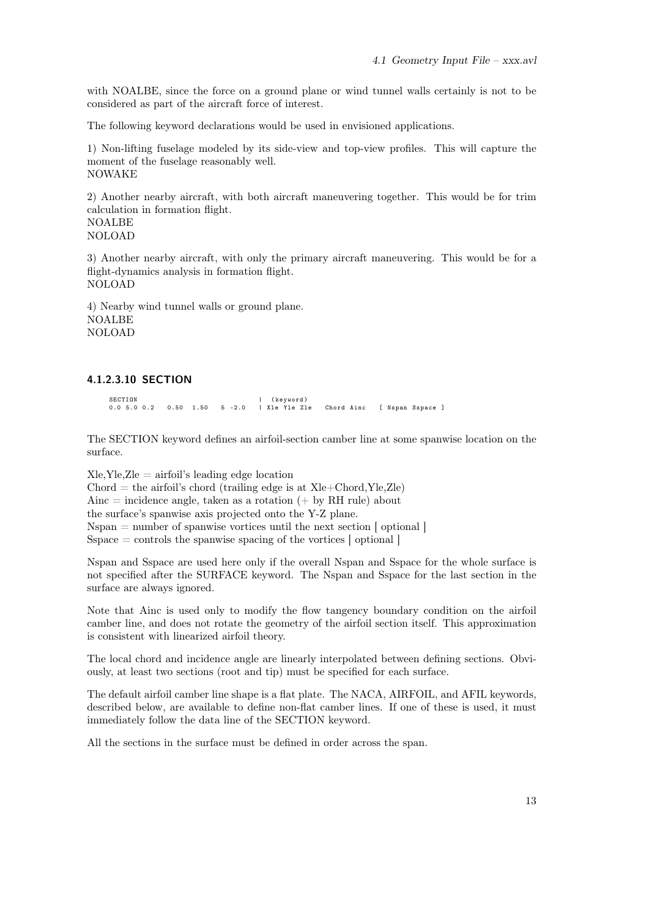with NOALBE, since the force on a ground plane or wind tunnel walls certainly is not to be considered as part of the aircraft force of interest.

The following keyword declarations would be used in envisioned applications.

1) Non-lifting fuselage modeled by its side-view and top-view profiles. This will capture the moment of the fuselage reasonably well. NOWAKE

2) Another nearby aircraft, with both aircraft maneuvering together. This would be for trim calculation in formation flight. NOALBE NOLOAD

3) Another nearby aircraft, with only the primary aircraft maneuvering. This would be for a flight-dynamics analysis in formation flight. NOLOAD

4) Nearby wind tunnel walls or ground plane. NOALBE NOLOAD

## <span id="page-20-0"></span>4.1.2.3.10 SECTION

SECTION | (keyword)<br>0.0 5.0 0.2 0.50 1.50 5 -2.0 | Xle Yle Zle 0.0 5.0 0.2 0.50 1.50 5 -2.0 | Xle Yle Zle Chord Ainc [ Nspan Sspace ]

The SECTION keyword defines an airfoil-section camber line at some spanwise location on the surface.

 $X$ le, $Y$ le, $Z$ le  $=$  airfoil's leading edge location  $Chord = the airfoil's chord (training edge is at Xle+Chord, Yle, Zle)$ Ainc  $=$  incidence angle, taken as a rotation  $(+)$  by RH rule) about the surface's spanwise axis projected onto the Y-Z plane. Nspan = number of spanwise vortices until the next section [ optional ] Sspace  $=$  controls the spanwise spacing of the vortices  $\lceil$  optional  $\rceil$ 

Nspan and Sspace are used here only if the overall Nspan and Sspace for the whole surface is not specified after the SURFACE keyword. The Nspan and Sspace for the last section in the surface are always ignored.

Note that Ainc is used only to modify the flow tangency boundary condition on the airfoil camber line, and does not rotate the geometry of the airfoil section itself. This approximation is consistent with linearized airfoil theory.

The local chord and incidence angle are linearly interpolated between defining sections. Obviously, at least two sections (root and tip) must be specified for each surface.

The default airfoil camber line shape is a flat plate. The NACA, AIRFOIL, and AFIL keywords, described below, are available to define non-flat camber lines. If one of these is used, it must immediately follow the data line of the SECTION keyword.

All the sections in the surface must be defined in order across the span.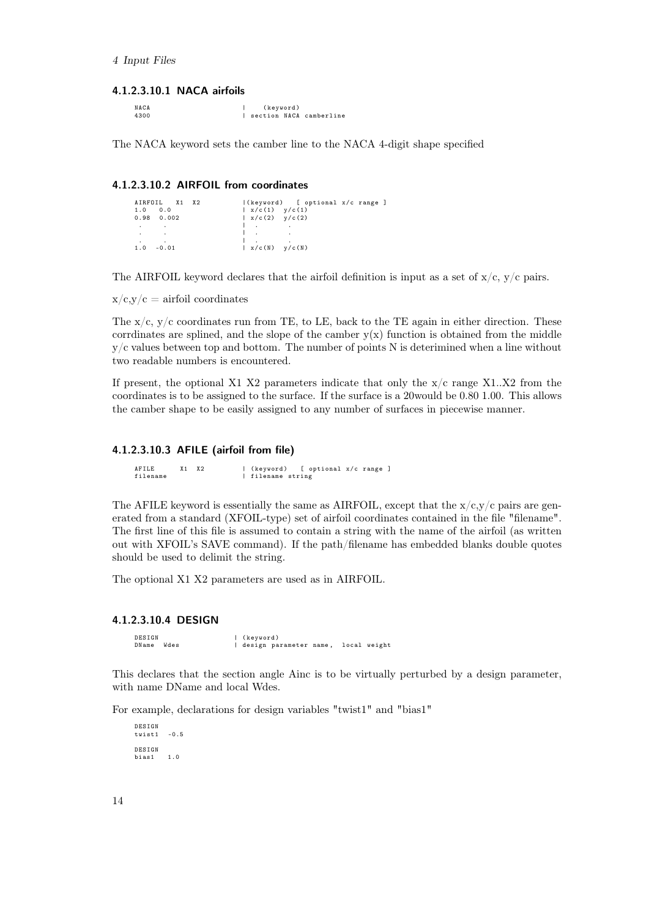## <span id="page-21-0"></span>4.1.2.3.10.1 NACA airfoils

| NACA | (keyword) |                           |
|------|-----------|---------------------------|
| 4300 |           | I section NACA camberline |

The NACA keyword sets the camber line to the NACA 4-digit shape specified

## <span id="page-21-1"></span>4.1.2.3.10.2 AIRFOIL from coordinates

| AIRFOIL X1 X2            |                                                | (keyword) [ optional x/c range ] |
|--------------------------|------------------------------------------------|----------------------------------|
| 0.0<br>1.0               | $\vert x/c(1) \vert y/c(1) \vert$              |                                  |
| 0.98<br>0.002            | $\vert x/c(2) \vert y/c(2) \vert$              |                                  |
| <b>Contract Contract</b> | $\mathbf{1}$ and $\mathbf{1}$ and $\mathbf{1}$ |                                  |
| <b>Contract Contract</b> |                                                |                                  |
|                          |                                                | $\cdot$                          |
| 1.0<br>$-0.01$           | $\vert x/c(N) - y/c(N) \vert$                  |                                  |

The AIRFOIL keyword declares that the airfoil definition is input as a set of  $x/c$ ,  $y/c$  pairs.

 $x/c,y/c =$  airfoil coordinates

The  $x/c$ ,  $y/c$  coordinates run from TE, to LE, back to the TE again in either direction. These corrdinates are splined, and the slope of the camber  $y(x)$  function is obtained from the middle  $y/c$  values between top and bottom. The number of points N is deterimined when a line without two readable numbers is encountered.

If present, the optional X1 X2 parameters indicate that only the  $x/c$  range X1..X2 from the coordinates is to be assigned to the surface. If the surface is a 20would be 0.80 1.00. This allows the camber shape to be easily assigned to any number of surfaces in piecewise manner.

## <span id="page-21-2"></span>4.1.2.3.10.3 AFILE (airfoil from file)

AFILE X1 X2 | (keyword) [ optional x/c range ]<br>filename string filename | filename string

The AFILE keyword is essentially the same as AIRFOIL, except that the  $x/c, y/c$  pairs are generated from a standard (XFOIL-type) set of airfoil coordinates contained in the file "filename". The first line of this file is assumed to contain a string with the name of the airfoil (as written out with XFOIL's SAVE command). If the path/filename has embedded blanks double quotes should be used to delimit the string.

The optional X1 X2 parameters are used as in AIRFOIL.

#### <span id="page-21-3"></span>4.1.2.3.10.4 DESIGN

DESIGN | (keyword)<br>DName Wdes | design pa | design parameter name, local weight

This declares that the section angle Ainc is to be virtually perturbed by a design parameter, with name DName and local Wdes.

For example, declarations for design variables "twist1" and "bias1"

DESIGN twist1 -0.5 DESIGN bias1 1.0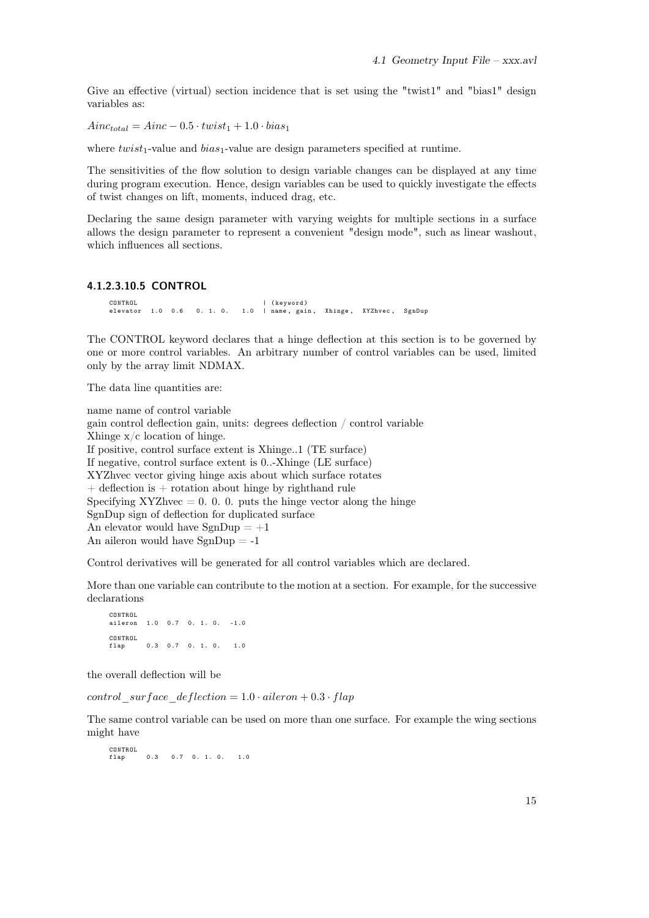Give an effective (virtual) section incidence that is set using the "twist1" and "bias1" design variables as:

 $Ainc_{total} = Ainc - 0.5 \cdot twist_1 + 1.0 \cdot bias_1$ 

where  $twist_1$ -value and  $bias_1$ -value are design parameters specified at runtime.

The sensitivities of the flow solution to design variable changes can be displayed at any time during program execution. Hence, design variables can be used to quickly investigate the effects of twist changes on lift, moments, induced drag, etc.

Declaring the same design parameter with varying weights for multiple sections in a surface allows the design parameter to represent a convenient "design mode", such as linear washout, which influences all sections.

## <span id="page-22-0"></span>4.1.2.3.10.5 CONTROL

CONTROL | ( keyword ) elevator 1.0 0.6 0. 1. 0. 1.0 | name , gain , Xhinge , XYZhvec , SgnDup

The CONTROL keyword declares that a hinge deflection at this section is to be governed by one or more control variables. An arbitrary number of control variables can be used, limited only by the array limit NDMAX.

The data line quantities are:

name name of control variable gain control deflection gain, units: degrees deflection / control variable Xhinge x/c location of hinge. If positive, control surface extent is Xhinge..1 (TE surface) If negative, control surface extent is 0..-Xhinge (LE surface) XYZhvec vector giving hinge axis about which surface rotates  $+$  deflection is  $+$  rotation about hinge by righthand rule Specifying XYZhvec  $= 0.0$ . 0. puts the hinge vector along the hinge SgnDup sign of deflection for duplicated surface An elevator would have  $SgnDup = +1$ An aileron would have  $SgnDup = -1$ 

Control derivatives will be generated for all control variables which are declared.

More than one variable can contribute to the motion at a section. For example, for the successive declarations

CONTROL  $1.0 \t 0.7 \t 0.1 \t 0. -1.0$ CONTROL flap 0.3 0.7 0. 1. 0. 1.0

the overall deflection will be

control surface deflection =  $1.0 \cdot$  aileron +  $0.3 \cdot$  flap

The same control variable can be used on more than one surface. For example the wing sections might have

CONTROL<br>flap  $0.3$  0.7 0. 1. 0. 1.0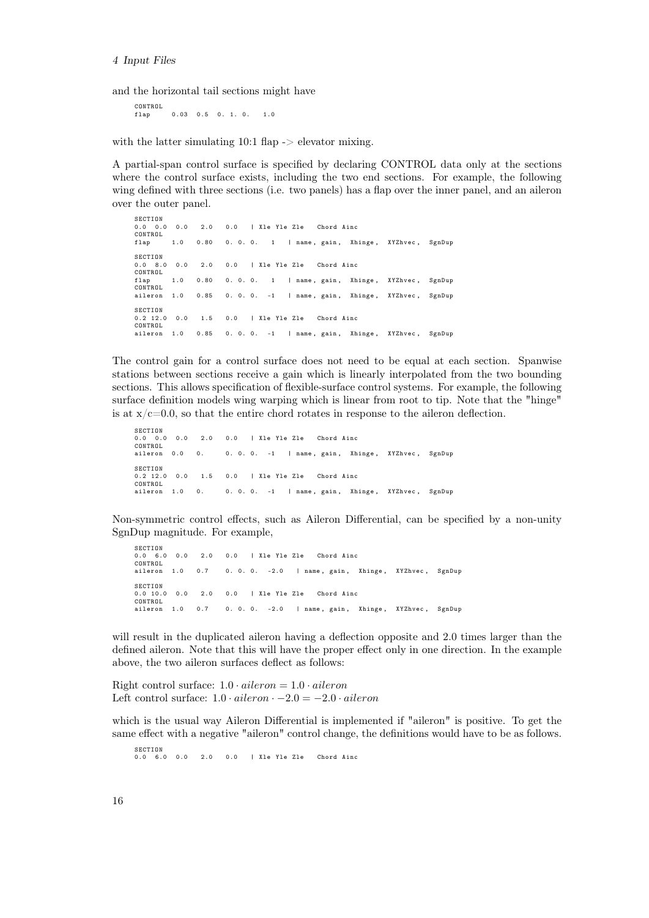and the horizontal tail sections might have

CONTROL<br>flap  $0.03$  0.5 0. 1. 0. 1.0

with the latter simulating 10:1 flap -> elevator mixing.

A partial-span control surface is specified by declaring CONTROL data only at the sections where the control surface exists, including the two end sections. For example, the following wing defined with three sections (i.e. two panels) has a flap over the inner panel, and an aileron over the outer panel.

```
SECTION<br>0.0 0.0
          0.0 0.0 0.0 2.0 0.0 | Xle Yle Zle Chord Ainc
0.0 0.0<br>CONTROL
flap 1.0 0.80 0.0. 1 | name, gain, Xhinge, XYZhvec, SgnDup
SECTION
                0.0 8.0 0.0 2.0 0.0 | Xle Yle Zle Chord Ainc
0.0 8.0 0.0<br>CONTROL<br>flap 1.0
         1.0 0.80 0.0.0. 1 | name, gain, Xhinge, XYZhvec, SgnDup
CONTROL<br>aileron
         1.0 0.85 0.0.0. -1 | name, gain, Xhinge, XYZhvec, SgnDup
SECTION<br>0.2 12.0
         0.0 1.5 0.0 | Xle Yle Zle Chord Ainc
CONTROL
         1.0 0.85 0. 0. 0. -1 | name, gain, Xhinge, XYZhvec, SgnDup
```
The control gain for a control surface does not need to be equal at each section. Spanwise stations between sections receive a gain which is linearly interpolated from the two bounding sections. This allows specification of flexible-surface control systems. For example, the following surface definition models wing warping which is linear from root to tip. Note that the "hinge" is at  $x/c=0.0$ , so that the entire chord rotates in response to the aileron deflection.

 $SECTION$ <br> $0.0 0.0 0.0$ 0.0 0.0 0.0 2.0 0.0 | Xle Yle Zle Chord Ainc CONTROL<br>aileron 0.0 0. 0.0.0. -1 | name, gain, Xhinge, XYZhvec, SgnDup  $SECTION$ <br> $0.2 12.0 0.0$ 0.2 12.0 0.0 1.5 0.0 | Xle Yle Zle Chord Ainc CONTROL 1.0 0. 0. 0. 0. -1 | name, gain, Xhinge, XYZhvec, SgnDup

Non-symmetric control effects, such as Aileron Differential, can be specified by a non-unity SgnDup magnitude. For example,

```
SECTION
0.0 6.0 0.0 2.0 0.0 | Xle Yle Zle Chord Ainc
CONTROL<br>aileron 1.0
               0.7 0.0.0. -2.0 | name, gain, Xhinge, XYZhvec, SgnDup
SECTION<br>0.0 10.0
         0.0 2.0 0.0 \blacksquare X<sub>1e</sub> Y<sub>1e</sub> Z<sub>1e</sub> Chord Ainc
CONTROL
        1.0 0.7 0.0.0. -2.0 | name, gain, Xhinge, XYZhvec, SgnDup
```
will result in the duplicated aileron having a deflection opposite and 2.0 times larger than the defined aileron. Note that this will have the proper effect only in one direction. In the example above, the two aileron surfaces deflect as follows:

Right control surface:  $1.0 \cdot$  aileron =  $1.0 \cdot$  aileron Left control surface:  $1.0 \cdot$  aileron  $\cdot$  -2.0 = -2.0  $\cdot$  aileron

which is the usual way Aileron Differential is implemented if "aileron" is positive. To get the same effect with a negative "aileron" control change, the definitions would have to be as follows.

**SECTION** 0.0 6.0 0.0 2.0 0.0 | Xle Yle Zle Chord Ainc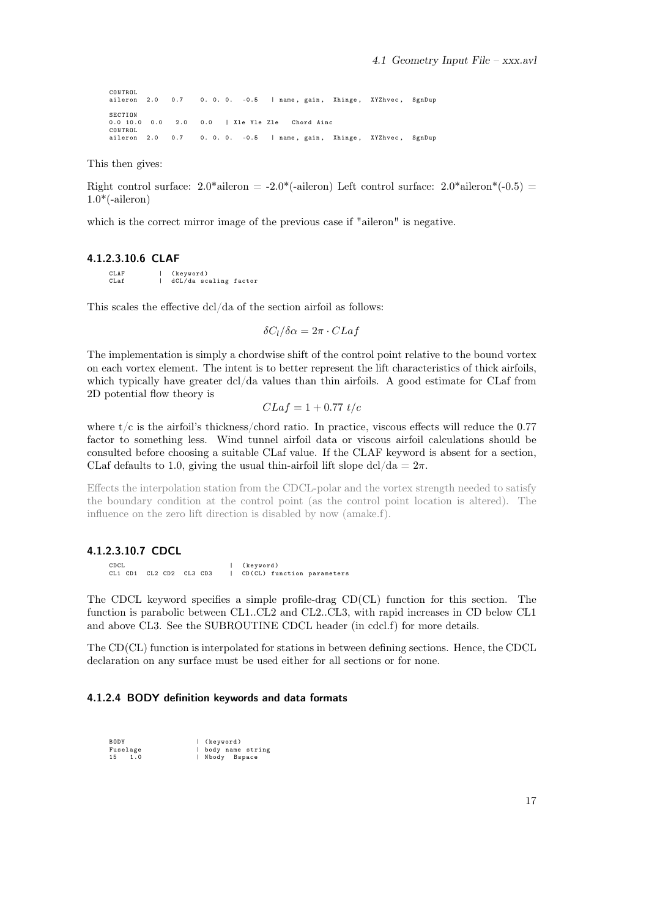CONTROL<br>aileron 2.0 0.7 0.0.0. -0.5 | name, gain, Xhinge, XYZhvec, SgnDup SECTION<br>0.0 10.0 0.0 0.0 10.0 0.0 2.0 0.0 | Xle Yle Zle Chord Ainc CONTROL 2.0 0.7 0.0.0. -0.5 | name, gain, Xhinge, XYZhvec, SgnDup

This then gives:

Right control surface:  $2.0^*$ aileron =  $-2.0^*$ (-aileron) Left control surface:  $2.0^*$ aileron<sup>\*</sup>(-0.5) =  $1.0<sup>*</sup>(-aileron)$ 

which is the correct mirror image of the previous case if "aileron" is negative.

## <span id="page-24-0"></span>4.1.2.3.10.6 CLAF

CLAF | (keyword)<br>Claf | dCl/da\_so dCL/da scaling factor

This scales the effective dcl/da of the section airfoil as follows:

 $\delta C_l/\delta \alpha = 2\pi \cdot CLaf$ 

The implementation is simply a chordwise shift of the control point relative to the bound vortex on each vortex element. The intent is to better represent the lift characteristics of thick airfoils, which typically have greater dcl/da values than thin airfoils. A good estimate for CLaf from 2D potential flow theory is

$$
CLaf = 1 + 0.77 t/c
$$

where  $t/c$  is the airfoil's thickness/chord ratio. In practice, viscous effects will reduce the 0.77 factor to something less. Wind tunnel airfoil data or viscous airfoil calculations should be consulted before choosing a suitable CLaf value. If the CLAF keyword is absent for a section, CLaf defaults to 1.0, giving the usual thin-airfoil lift slope dcl/da =  $2\pi$ .

Effects the interpolation station from the CDCL-polar and the vortex strength needed to satisfy the boundary condition at the control point (as the control point location is altered). The influence on the zero lift direction is disabled by now (amake.f).

#### <span id="page-24-1"></span>4.1.2.3.10.7 CDCL

CDCL | ( keyword ) CL1 CD1 CL2 CD2 CL3 CD3 | CD ( CL ) function parameters

The CDCL keyword specifies a simple profile-drag CD(CL) function for this section. The function is parabolic between CL1..CL2 and CL2..CL3, with rapid increases in CD below CL1 and above CL3. See the SUBROUTINE CDCL header (in cdcl.f) for more details.

The CD(CL) function is interpolated for stations in between defining sections. Hence, the CDCL declaration on any surface must be used either for all sections or for none.

### <span id="page-24-2"></span>4.1.2.4 BODY definition keywords and data formats

| BODY      | (keyword)        |
|-----------|------------------|
| Fuselage  | body name string |
| 15<br>1.0 | Nbody Bspace     |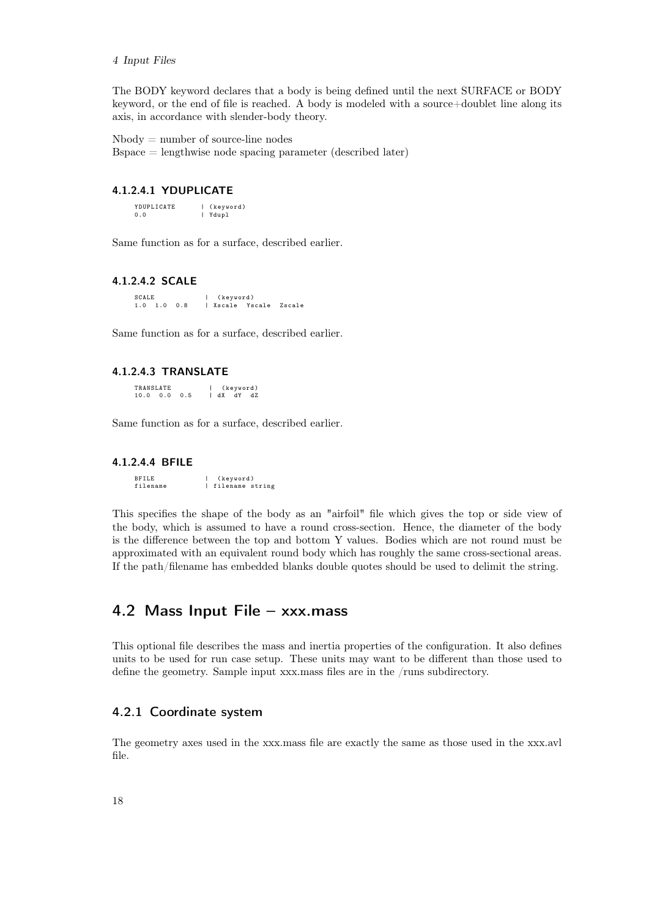#### 4 Input Files

The BODY keyword declares that a body is being defined until the next SURFACE or BODY keyword, or the end of file is reached. A body is modeled with a source+doublet line along its axis, in accordance with slender-body theory.

 $Nbody = number of source-line nodes$ 

Bspace = lengthwise node spacing parameter (described later)

## <span id="page-25-0"></span>4.1.2.4.1 YDUPLICATE

YDUPLICATE | (keyword)<br>0.0 | Ydupl

Same function as for a surface, described earlier.

### <span id="page-25-1"></span>4.1.2.4.2 SCALE

SCALE | (keyword)<br>1.0 1.0 0.8 | Xscale Ys 1. Xscale Yscale Zscale

Same function as for a surface, described earlier.

## <span id="page-25-2"></span>4.1.2.4.3 TRANSLATE

TRANSLATE | (keyword)<br>10.0 0.0 0.5 | dX dY dZ  $10.0 \t 0.0 \t 0.5$ 

Same function as for a surface, described earlier.

#### <span id="page-25-3"></span>4.1.2.4.4 BFILE

BFILE | (keyword)<br>filename | filename e .<br>1 filename string

This specifies the shape of the body as an "airfoil" file which gives the top or side view of the body, which is assumed to have a round cross-section. Hence, the diameter of the body is the difference between the top and bottom Y values. Bodies which are not round must be approximated with an equivalent round body which has roughly the same cross-sectional areas. If the path/filename has embedded blanks double quotes should be used to delimit the string.

## <span id="page-25-4"></span>4.2 Mass Input File – xxx.mass

This optional file describes the mass and inertia properties of the configuration. It also defines units to be used for run case setup. These units may want to be different than those used to define the geometry. Sample input xxx.mass files are in the /runs subdirectory.

## <span id="page-25-5"></span>4.2.1 Coordinate system

The geometry axes used in the xxx.mass file are exactly the same as those used in the xxx.avl file.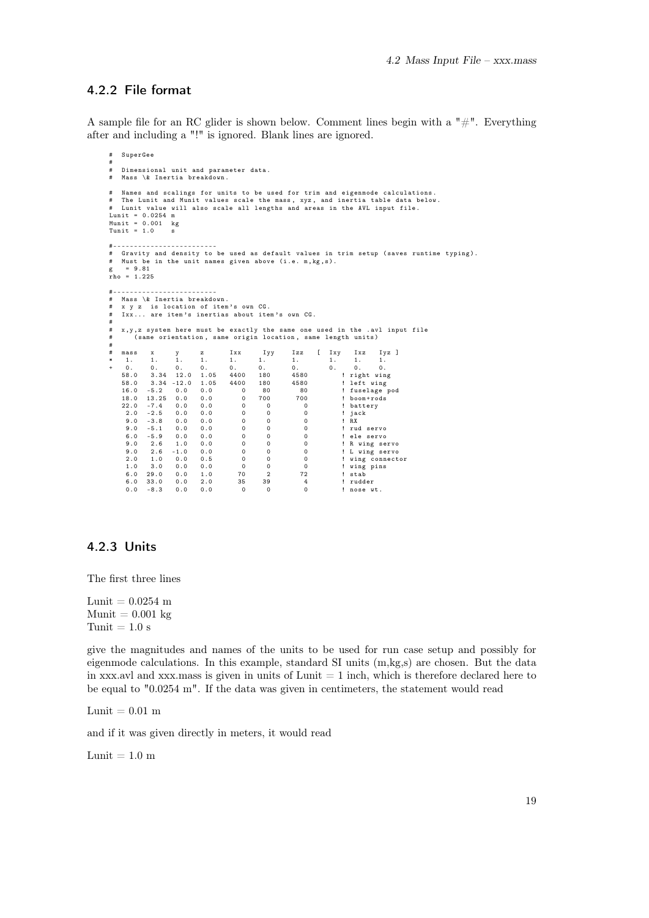## <span id="page-26-0"></span>4.2.2 File format

A sample file for an RC glider is shown below. Comment lines begin with a  $^{\prime\prime}$  #". Everything after and including a "!" is ignored. Blank lines are ignored.

```
# SuperGee
#
# Dimensional unit and parameter data .
# Mass \& Inertia breakdown .
# Names and scalings for units to be used for trim and eigenmode calculations .
# The Lunit and Munit values scale the mass, xyz, and inertia table data below.<br># Lunit value will also scale all lengths and areas in the AVL input file.<br>Lunit = 0.0254 m<br>Munit = 0.001 kg<br>Tunit = 1.0 s
#-----------------------<br># Gravity and density to be used as default values in trim setup (saves runtime typing).<br># Must be in the unit names given above (i.e. m,kg,s).
      = 9.81rho = 1.225#- ---- ----- ---- ---- ---- ---
# Mass \& Inertia breakdown .
# x y z is location of item 's own CG.<br># x y z is location of item 's own CG.
   Ixx... are item's inertias about item's own CG.
#
# x ,y ,z system here must be exactly the same one used in the . avl input file
# ( same orientation , same origin location , same length units )
#
# mass x y z Ixx Iyy Izz [ Ixy Ixz Iyz ]
* 1. 1. 1. 1. 1. 1. 1. 1. 1. 1.
+ 0. 0. 0. 0. 0. 0. 0. 0. 0. 0.
58.0 3.34 12.0 1.05 4400 180 4580 ! right wing
58.0 3.34 -12.0 1.05 4400 180 4580 ! left wing
16.0 -5.2 0.0 0.0 0 80 80 ! fuselage pod
    18.0 13.25 0.0 0.0 0 700 700 ! boom+rods<br>22.0 -7.4 0.0 0.0 0 700 700 ! boom+rods<br>2.0 -2.5 0.0 0.0 0 0 0 ! jack
     22.0 -7.4 0.0 0.0 0 0 0 ! battery
2.0 -2.5 0.0 0.0 0 0 0 ! jack
      9.0 -3.8 0.0 0.0 0 0 0 ! RX
      9.0 -3.8 0.0 0.0 0 0 0 0 ! RX<br>9.0 -5.1 0.0 0.0 0 0 0 0 0 ! rud servo<br>6.0 -5.9 0.0 0.0 0 0 0 0 ! ele servo
      6.0 -5.9 0.0 0.0 0 0 0 ! ele servo
      9.0 2.6 1.0 0.0 0 0 0 ! R wing servo
9.0 2.6 -1.0 0.0 0 0 0 ! L wing servo
2.0 1.0 0.0 0.5 0 0 0 ! wing connector
1.0 3.0 0.0 0.0 0 0 0 ! wing pins
      1.0 29.0 0.0 1.0 70 2 72 ! stab<br>6.0 33.0 0.0 2.0 35 39 4 ! rudder<br>0.0 -8.3 0.0 0.0 0 0 0 ! nose w
     6.0 33.0 0.0 2.0<br>0.0 -8.3 0.0 0.00.0 -8.3 0.0 0.0 0 0 0 ! nose wt .
```
## <span id="page-26-1"></span>4.2.3 Units

The first three lines

Lunit =  $0.0254$  m  $Munit = 0.001$  kg Tunit  $= 1.0$  s

give the magnitudes and names of the units to be used for run case setup and possibly for eigenmode calculations. In this example, standard SI units  $(m,kg,s)$  are chosen. But the data in xxx.avl and xxx.mass is given in units of Lunit  $= 1$  inch, which is therefore declared here to be equal to "0.0254 m". If the data was given in centimeters, the statement would read

Lunit  $= 0.01$  m

and if it was given directly in meters, it would read

Lunit =  $1.0 \text{ m}$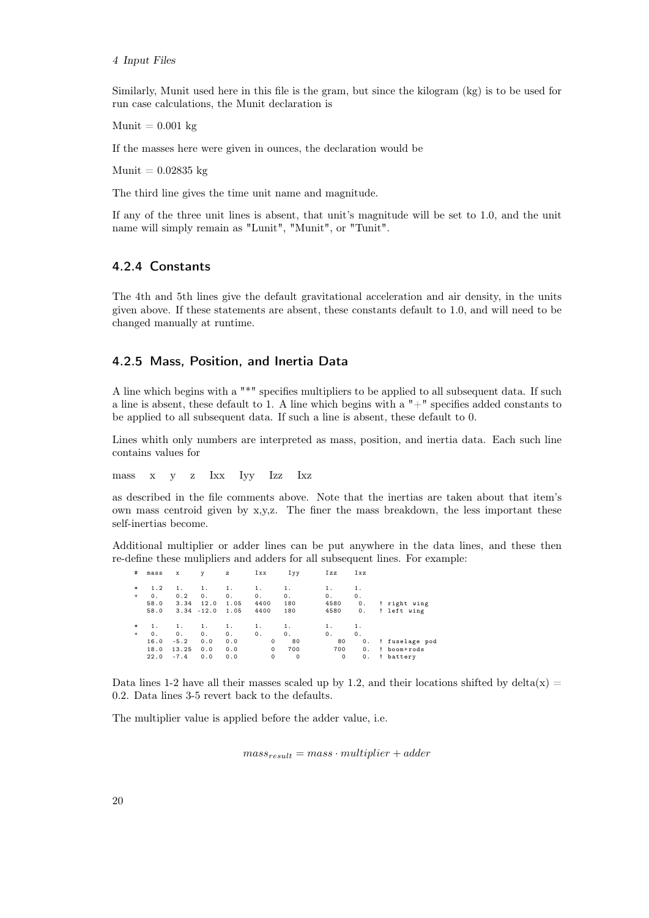Similarly, Munit used here in this file is the gram, but since the kilogram (kg) is to be used for run case calculations, the Munit declaration is

 $Munit = 0.001$  kg

If the masses here were given in ounces, the declaration would be

 $Munit = 0.02835$  kg

The third line gives the time unit name and magnitude.

If any of the three unit lines is absent, that unit's magnitude will be set to 1.0, and the unit name will simply remain as "Lunit", "Munit", or "Tunit".

## <span id="page-27-0"></span>4.2.4 Constants

The 4th and 5th lines give the default gravitational acceleration and air density, in the units given above. If these statements are absent, these constants default to 1.0, and will need to be changed manually at runtime.

## <span id="page-27-1"></span>4.2.5 Mass, Position, and Inertia Data

A line which begins with a "\*" specifies multipliers to be applied to all subsequent data. If such a line is absent, these default to 1. A line which begins with a  $"+"$  specifies added constants to be applied to all subsequent data. If such a line is absent, these default to 0.

Lines whith only numbers are interpreted as mass, position, and inertia data. Each such line contains values for

mass x y z Ixx Iyy Izz Ixz

as described in the file comments above. Note that the inertias are taken about that item's own mass centroid given by x,y,z. The finer the mass breakdown, the less important these self-inertias become.

Additional multiplier or adder lines can be put anywhere in the data lines, and these then re-define these mulipliers and adders for all subsequent lines. For example:

| #         | mass | x      | у             | z    | Ixx     | Іуу     | Izz  | Ixz |                |
|-----------|------|--------|---------------|------|---------|---------|------|-----|----------------|
| *         | 1.2  | 1.     | 1.            | 1.   | 1.      | 1.      |      | 1.  |                |
| $\ddot{}$ | 0.   | 0.2    | 0.            | 0.   | 0.      | 0.      | 0.   | 0.  |                |
|           | 58.0 | 3.34   | 12.0          | 1.05 | 4400    | 180     | 4580 | 0.  | ! right wing   |
|           | 58.0 |        | $3.34 - 12.0$ | 1.05 | 4400    | 180     | 4580 | 0.  | ! left wing    |
| $*$       | 1.   | 1.     | 1.            | 1.   | 1.      | 1.      | 1.   | 1.  |                |
| $\ddot{}$ | 0.   | 0.     | 0.            | 0.   | 0.      | 0.      | 0.   | 0.  |                |
|           | 16.0 | $-5.2$ | 0.0           | 0.0  | 0       | 80      | 80   | 0.  | ! fuselage pod |
|           | 18.0 | 13.25  | 0.0           | 0.0  | 0       | 700     | 700  | 0.  | ! boom+rods    |
|           | 22.0 | $-7.4$ | 0.0           | 0.0  | $\circ$ | $\circ$ | 0    | 0.  | ! battery      |
|           |      |        |               |      |         |         |      |     |                |

Data lines 1-2 have all their masses scaled up by 1.2, and their locations shifted by delta $(x)$  = 0.2. Data lines 3-5 revert back to the defaults.

The multiplier value is applied before the adder value, i.e.

 $mass_{result} = mass \cdot multiplier + adder$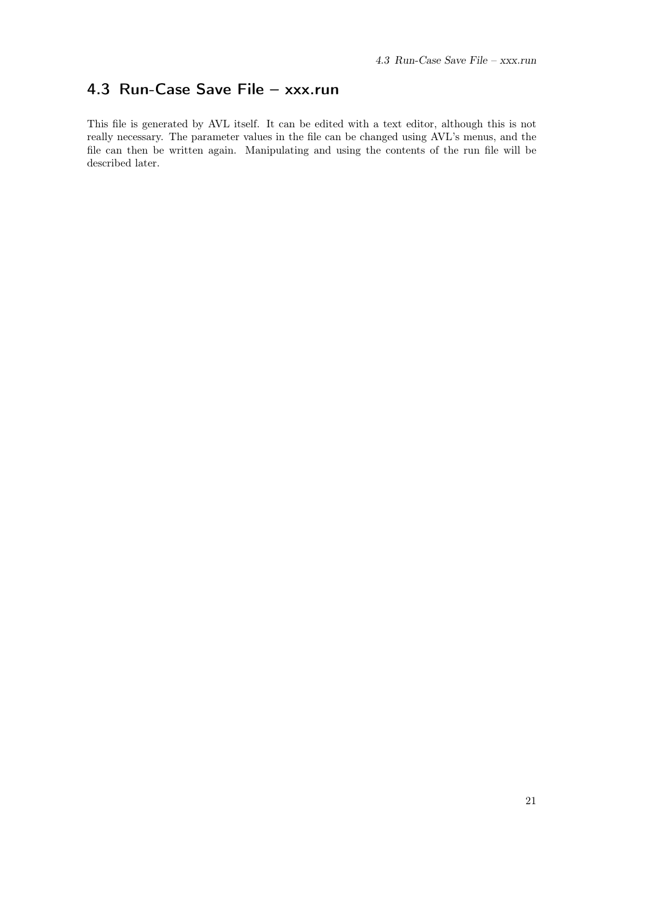# <span id="page-28-0"></span>4.3 Run-Case Save File – xxx.run

This file is generated by AVL itself. It can be edited with a text editor, although this is not really necessary. The parameter values in the file can be changed using AVL's menus, and the file can then be written again. Manipulating and using the contents of the run file will be described later.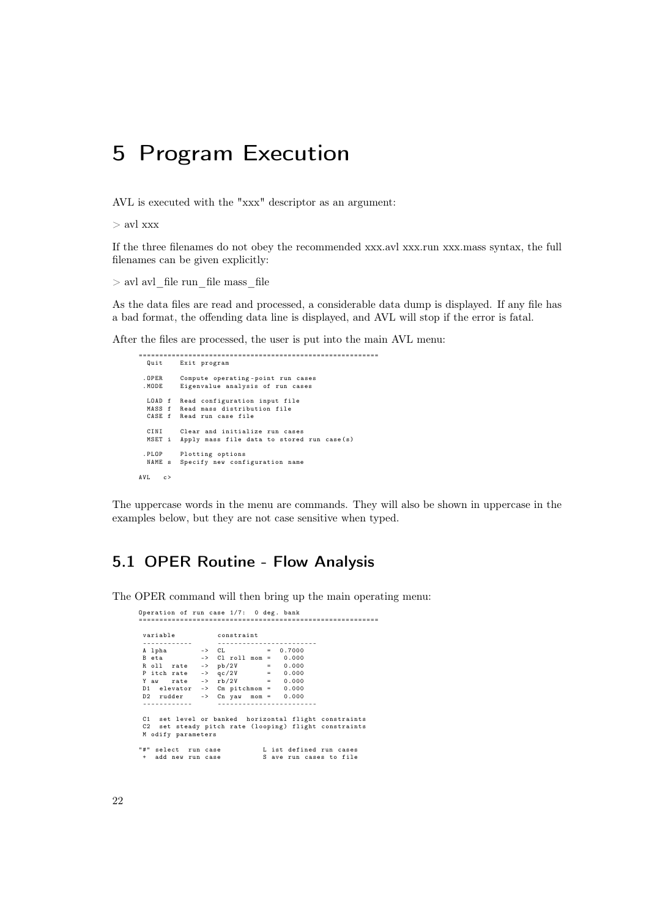# <span id="page-29-0"></span>5 Program Execution

AVL is executed with the "xxx" descriptor as an argument:

> avl xxx

If the three filenames do not obey the recommended xxx.avl xxx.run xxx.mass syntax, the full filenames can be given explicitly:

 $>$ avl avl $\,$ file run $\,$ file mass $\,$ file

As the data files are read and processed, a considerable data dump is displayed. If any file has a bad format, the offending data line is displayed, and AVL will stop if the error is fatal.

After the files are processed, the user is put into the main AVL menu:

```
==========================================================
 Quit Exit program
 . OPER Compute operating - point run cases<br>MODE Eigenvalue analysis of run cases
           . MODE Eigenvalue analysis of run cases
  LOAD f Read configuration input file
   MASS f Read mass distribution file
CASE f Read run case file
   CINI Clear and initialize run cases
MSET i Apply mass file data to stored run case (s)
 . PLOP Plotting options
  NAME s Specify new configuration name
AVL c>
```
The uppercase words in the menu are commands. They will also be shown in uppercase in the examples below, but they are not case sensitive when typed.

# <span id="page-29-1"></span>5.1 OPER Routine - Flow Analysis

The OPER command will then bring up the main operating menu:

|  |                    | Operation of run case 1/7: 0 deg. bank                |  |  |  |  |
|--|--------------------|-------------------------------------------------------|--|--|--|--|
|  |                    |                                                       |  |  |  |  |
|  |                    | variable constraint                                   |  |  |  |  |
|  |                    |                                                       |  |  |  |  |
|  |                    | A 1pha  -> CL  = 0.7000                               |  |  |  |  |
|  |                    | B eta $\longrightarrow$ C1 roll mom = $0.000$         |  |  |  |  |
|  |                    | R oll rate -> pb/2V = 0.000                           |  |  |  |  |
|  |                    | P itch rate $  q c / 2V$ = 0.000                      |  |  |  |  |
|  |                    | Y aw rate -> $rb/2V = 0.000$                          |  |  |  |  |
|  |                    | D1 elevator $\rightarrow$ Cm pitchmom = $0.000$       |  |  |  |  |
|  |                    | D2 rudder $\Rightarrow$ Cn yaw mom = 0.000            |  |  |  |  |
|  |                    |                                                       |  |  |  |  |
|  |                    |                                                       |  |  |  |  |
|  |                    | C1 set level or banked horizontal flight constraints  |  |  |  |  |
|  |                    | C2 set steady pitch rate (looping) flight constraints |  |  |  |  |
|  | M odify parameters |                                                       |  |  |  |  |
|  |                    |                                                       |  |  |  |  |
|  |                    | "#" select run case L ist defined run cases           |  |  |  |  |
|  |                    | + add new run case S ave run cases to file            |  |  |  |  |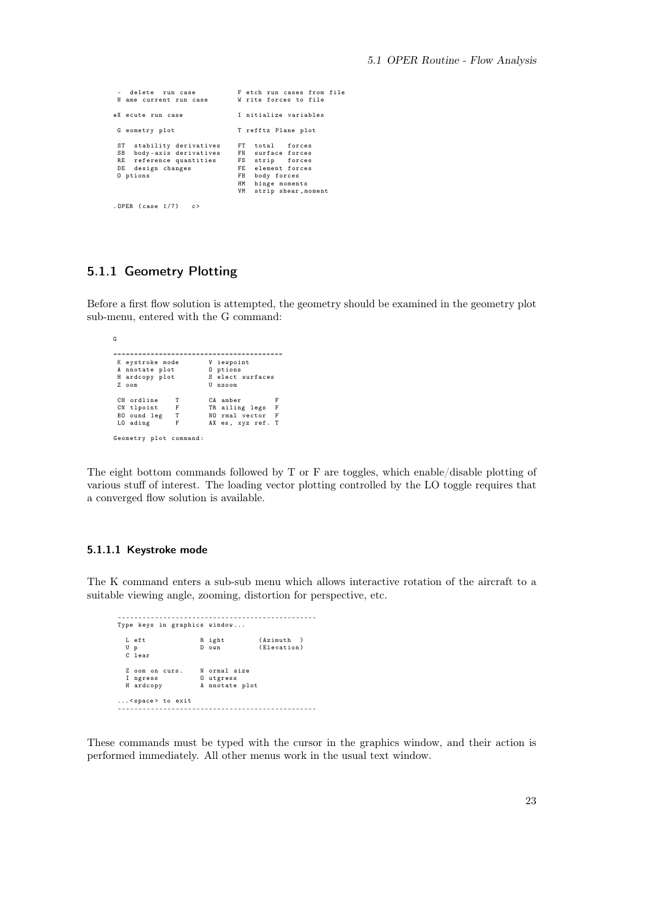```
- delete run case F etch run cases from file
                                              W rite forces to file
eX ecute run case I nitialize variables
 G eometry plot T refftz Plane plot
 ST stability derivatives FT total forces
  SB body - axis derivatives FN surface forces
RE reference quantities FS strip forces
DE design changes FE element forces
 Expression in the contract of the set of the set of the set of the set of the set of the set of the set of the set of the set of the set of the set of the set of the set of the set of the set of the set of the set of the s
                                                 HM hinge moments
VM strip shear , moment
. OPER (case 1/7) c>
```
## <span id="page-30-0"></span>5.1.1 Geometry Plotting

G

Before a first flow solution is attempted, the geometry should be examined in the geometry plot sub-menu, entered with the G command:

```
=========================================
                                --=====<br>V iewpoint<br>O ptions<br>S elect sur
  A nnotate plot<br>H ardcopy plot
 A anotate plot the priori of the select surfaces<br>
H ardcopy plot S elect surfaces<br>
Z oom U nzoom
                                         U nzoom
 CH ordline T CA amber F<br>CN tlpoint F TR ailing legs F
 CN tlpoint F TR ailing legs F<br>BO ound leg T MO rmal vector F<br>LO ading F AX es, xyz ref. T
  BO ound leg T NO rmal vector F
LO ading F AX es , xyz ref . T
Geometry plot command :
```
The eight bottom commands followed by T or F are toggles, which enable/disable plotting of various stuff of interest. The loading vector plotting controlled by the LO toggle requires that a converged flow solution is available.

#### <span id="page-30-1"></span>5.1.1.1 Keystroke mode

The K command enters a sub-sub menu which allows interactive rotation of the aircraft to a suitable viewing angle, zooming, distortion for perspective, etc.

------------------------------------------------ Type keys in graphics window ... Left Right (Azimuth )<br>Up Down (Elevatio .<br>(Elevation) U p<br>C lear Z oom on curs. N ormal size<br>I ngress 0 utgress<br>H ardcopy A nnotate pl I ngress O utgress H ardcopy A nnotate plot ... < space > to exit ------------------------------------------------

These commands must be typed with the cursor in the graphics window, and their action is performed immediately. All other menus work in the usual text window.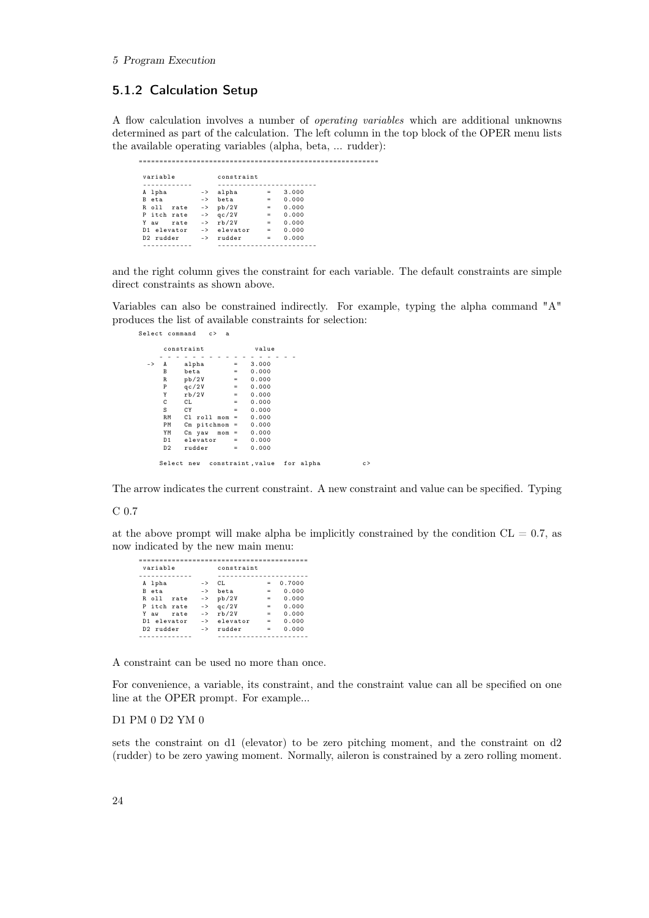## <span id="page-31-0"></span>5.1.2 Calculation Setup

A flow calculation involves a number of operating variables which are additional unknowns determined as part of the calculation. The left column in the top block of the OPER menu lists the available operating variables (alpha, beta, ... rudder):

==========================================================

|   | variable    |      |               | constraint             |     |       |  |  |
|---|-------------|------|---------------|------------------------|-----|-------|--|--|
|   |             |      |               |                        |     |       |  |  |
| А | lpha        |      | $\rightarrow$ | alpha                  | $=$ | 3.000 |  |  |
| R | eta         |      | $\rightarrow$ | beta                   | $=$ | 0.000 |  |  |
| R | 011         | rate | $\rightarrow$ | pb/2V                  | $=$ | 0.000 |  |  |
|   | P itch rate |      | $\rightarrow$ | qc/2V                  | $=$ | 0.000 |  |  |
| Y | aw          | rate | $\rightarrow$ | rb/2V                  | $=$ | 0.000 |  |  |
|   | D1 elevator |      |               | $\rightarrow$ elevator | $=$ | 0.000 |  |  |
|   | D2 rudder   |      | $\rightarrow$ | rudder                 | $=$ | 0.000 |  |  |
|   |             |      |               |                        |     |       |  |  |

and the right column gives the constraint for each variable. The default constraints are simple direct constraints as shown above.

Variables can also be constrained indirectly. For example, typing the alpha command "A" produces the list of available constraints for selection:

|               |                | constraint        |     | value |
|---------------|----------------|-------------------|-----|-------|
|               |                |                   |     |       |
| $\rightarrow$ | A              | alpha             | $=$ | 3.000 |
|               | В              | beta              | $=$ | 0.000 |
|               | R              | pb/2V             | $=$ | 0.000 |
|               | P              | qc/2V             | $=$ | 0.000 |
|               | Y              | rb/2V             | $=$ | 0.000 |
|               | C              | CL.               | $=$ | 0.000 |
|               | S              | СY                | $=$ | 0.000 |
|               | RM             | $Cl$ roll mom =   |     | 0.000 |
|               | РM             | $Cm$ pitchmom =   |     | 0.000 |
|               | YM             | Cn yaw<br>$mom =$ |     | 0.000 |
|               | D1             | elevator          | $=$ | 0.000 |
|               | D <sub>2</sub> | rudder            | $=$ | 0.000 |

The arrow indicates the current constraint. A new constraint and value can be specified. Typing

#### C 0.7

at the above prompt will make alpha be implicitly constrained by the condition  $CL = 0.7$ , as now indicated by the new main menu:

| variable        |               | constraint |     |        |
|-----------------|---------------|------------|-----|--------|
|                 |               |            |     |        |
| A lpha          | $\rightarrow$ | CL.        | =   | 0.7000 |
| eta<br>R        | $\rightarrow$ | beta       | $=$ | 0.000  |
| R oll<br>rate   | $\rightarrow$ | pb/2V      | $=$ | 0.000  |
| P itch rate     | $\rightarrow$ | qc/2V      | $=$ | 0.000  |
| Y<br>rate<br>aw | $\rightarrow$ | rb/2V      | $=$ | 0.000  |
| D1 elevator     | $\rightarrow$ | elevator   | -   | 0.000  |
| D2 rudder       | $\rightarrow$ | rudder     | $=$ | 0.000  |
|                 |               |            |     |        |

A constraint can be used no more than once.

For convenience, a variable, its constraint, and the constraint value can all be specified on one line at the OPER prompt. For example...

### D1 PM 0 D2 YM 0

sets the constraint on d1 (elevator) to be zero pitching moment, and the constraint on d2 (rudder) to be zero yawing moment. Normally, aileron is constrained by a zero rolling moment.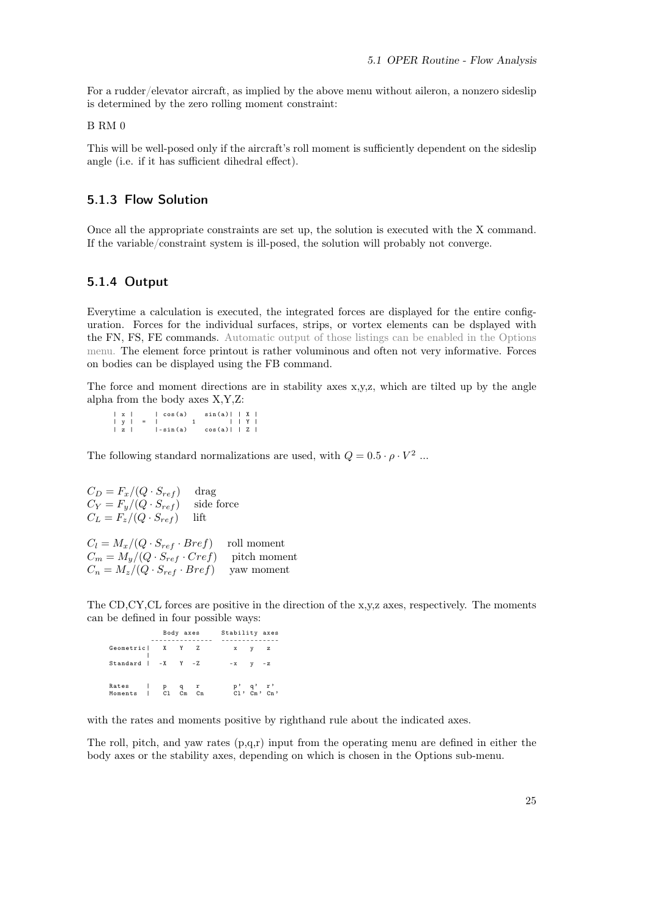For a rudder/elevator aircraft, as implied by the above menu without aileron, a nonzero sideslip is determined by the zero rolling moment constraint:

B RM 0

This will be well-posed only if the aircraft's roll moment is sufficiently dependent on the sideslip angle (i.e. if it has sufficient dihedral effect).

## <span id="page-32-0"></span>5.1.3 Flow Solution

Once all the appropriate constraints are set up, the solution is executed with the X command. If the variable/constraint system is ill-posed, the solution will probably not converge.

## <span id="page-32-1"></span>5.1.4 Output

Everytime a calculation is executed, the integrated forces are displayed for the entire configuration. Forces for the individual surfaces, strips, or vortex elements can be dsplayed with the FN, FS, FE commands. Automatic output of those listings can be enabled in the Options menu. The element force printout is rather voluminous and often not very informative. Forces on bodies can be displayed using the FB command.

The force and moment directions are in stability axes x,y,z, which are tilted up by the angle alpha from the body axes X,Y,Z:

| $\vert x \vert$ |  | l cos(a)    | $sin(a)$     X   |  |  |
|-----------------|--|-------------|------------------|--|--|
|                 |  | $ y  =   1$ |                  |  |  |
| $\vert z \vert$ |  | $l-sin(a)$  | $cos(a)$     $Z$ |  |  |

The following standard normalizations are used, with  $Q = 0.5 \cdot \rho \cdot V^2$ ...

 $C_D = F_x/(Q \cdot S_{ref})$  drag<br>  $C_Y = F_y/(Q \cdot S_{ref})$  side force  $C_Y = F_y/(Q \cdot S_{ref})$  $C_L = F_z/(Q \cdot S_{ref})$  lift  $C_l = M_x/(Q \cdot S_{ref} \cdot Bref)$  roll moment  $C_m = M_y/(Q \cdot S_{ref} \cdot Cref)$  pitch moment  $C_n = M_z/(Q \cdot S_{ref} \cdot Bref)$  yaw moment

The CD,CY,CL forces are positive in the direction of the x,y,z axes, respectively. The moments can be defined in four possible ways:

```
Body axes Stability axes
--------------- --------------
Geometric | X Y Z x y z
|
Standard | -X Y -Z -x y -z
Rates | p q r<br>Moments | C1 Cm Cn
                                   p', q', r'<br>Cl, Cm, Cn,
```
with the rates and moments positive by righthand rule about the indicated axes.

The roll, pitch, and yaw rates  $(p,q,r)$  input from the operating menu are defined in either the body axes or the stability axes, depending on which is chosen in the Options sub-menu.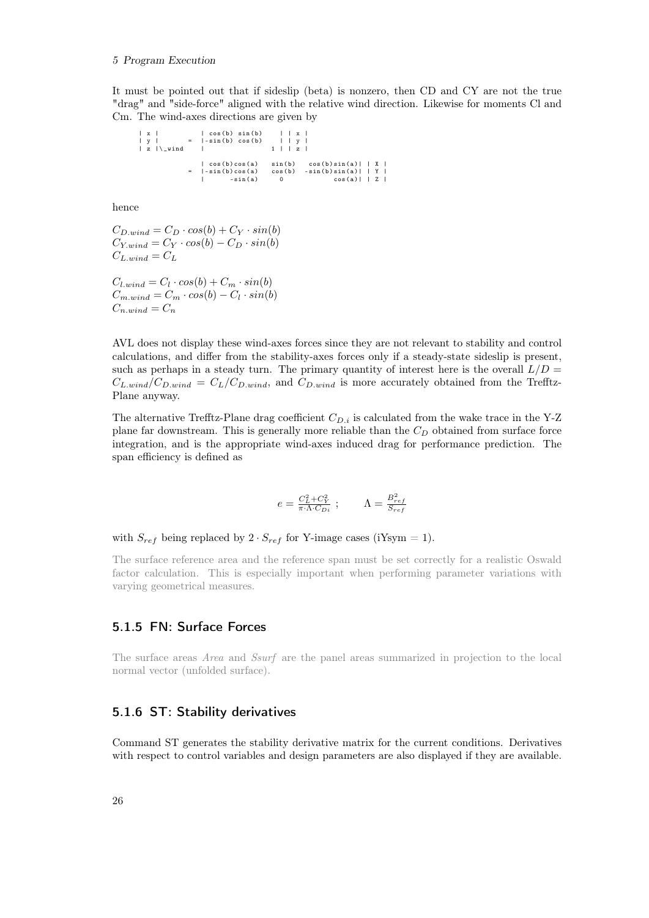#### 5 Program Execution

It must be pointed out that if sideslip (beta) is nonzero, then CD and CY are not the true "drag" and "side-force" aligned with the relative wind direction. Likewise for moments Cl and Cm. The wind-axes directions are given by

| x | | cos (b ) sin (b) | | x | | y | = |- sin (b) cos (b) | | y | | z |\ \_wind | 1 | | z | | cos(b)cos(a) sin(b) cos(b)sin(a)| | X |<br>| sin(b)cos(a) cos(b) -sin(b)sin(a)| | Y |  $|\cos(b)\cos(a) - \sin(b) - \cos(b)\sin(a)| + X|$ <br>  $|\sin(b)\cos(a) - \sin(b) - \sin(b)\sin(a)| + Y|$ <br>  $|\sin(a) - 0 - \cos(a)| + Z|$ 

hence

$$
C_{D\text{.wind}} = C_D \cdot \cos(b) + C_Y \cdot \sin(b)
$$
  
\n
$$
C_{Y\text{.wind}} = C_Y \cdot \cos(b) - C_D \cdot \sin(b)
$$
  
\n
$$
C_{L\text{.wind}} = C_L
$$

 $C_{l.wind} = C_l \cdot cos(b) + C_m \cdot sin(b)$  $C_{m.wind} = C_m \cdot cos(b) - C_l \cdot sin(b)$  $C_{n.wind} = C_n$ 

AVL does not display these wind-axes forces since they are not relevant to stability and control calculations, and differ from the stability-axes forces only if a steady-state sideslip is present, such as perhaps in a steady turn. The primary quantity of interest here is the overall  $L/D =$  $C_{L,wind}/C_{D,wind} = C_L/C_{D,wind}$ , and  $C_{D,wind}$  is more accurately obtained from the Trefftz-Plane anyway.

The alternative Trefftz-Plane drag coefficient  $C_{D,i}$  is calculated from the wake trace in the Y-Z plane far downstream. This is generally more reliable than the  $C<sub>D</sub>$  obtained from surface force integration, and is the appropriate wind-axes induced drag for performance prediction. The span efficiency is defined as

$$
e = \frac{C_L^2 + C_Y^2}{\pi \cdot \Lambda \cdot C_{Di}} \; ; \qquad \Lambda = \frac{B_{ref}^2}{S_{ref}}
$$

with  $S_{ref}$  being replaced by  $2 \cdot S_{ref}$  for Y-image cases (iYsym = 1).

The surface reference area and the reference span must be set correctly for a realistic Oswald factor calculation. This is especially important when performing parameter variations with varying geometrical measures.

## <span id="page-33-0"></span>5.1.5 FN: Surface Forces

The surface areas Area and Ssurf are the panel areas summarized in projection to the local normal vector (unfolded surface).

## <span id="page-33-1"></span>5.1.6 ST: Stability derivatives

Command ST generates the stability derivative matrix for the current conditions. Derivatives with respect to control variables and design parameters are also displayed if they are available.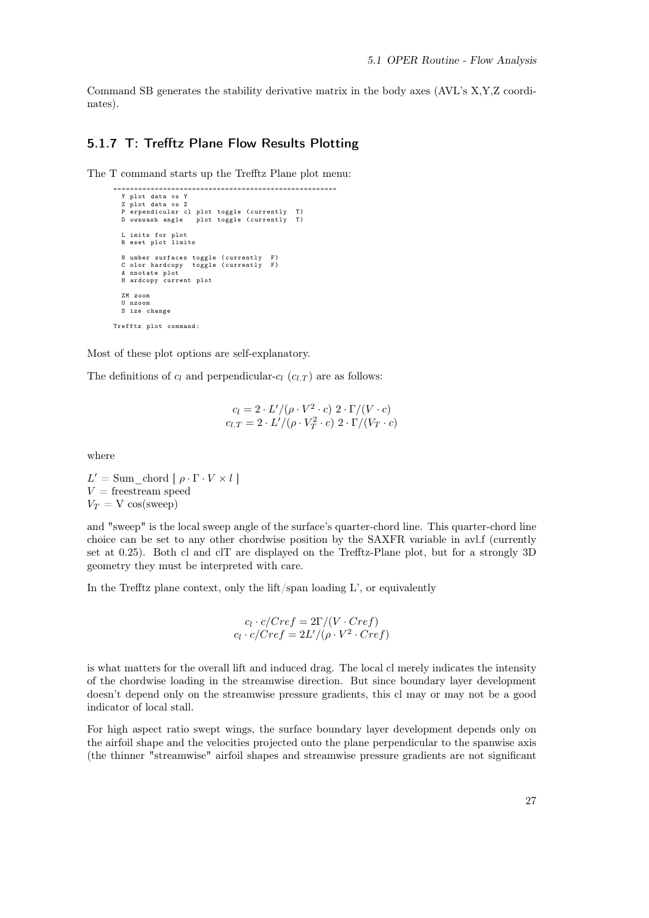Command SB generates the stability derivative matrix in the body axes (AVL's X,Y,Z coordinates).

## <span id="page-34-0"></span>5.1.7 T: Trefftz Plane Flow Results Plotting

The T command starts up the Trefftz Plane plot menu:

```
======================================================
   Y plot data vs Y
Z plot data vs Z
P erpendicular cl plot toggle ( currently T)
D ownwash angle plot toggle ( currently T)
   L imits for plot
R eset plot limits
   N umber surfaces toggle (currently F)
   C olor hardcopy toggle ( currently F)
A nnotate plot
  H ardcopy current plot
  ZM zoom
  U nzoom
  S ize change
Trefftz plot command :
```
Most of these plot options are self-explanatory.

The definitions of  $c_l$  and perpendicular- $c_l$  ( $c_{l,T}$ ) are as follows:

$$
c_l = 2 \cdot L'/(\rho \cdot V^2 \cdot c) \cdot 2 \cdot \Gamma/(V \cdot c)
$$
  

$$
c_{l,T} = 2 \cdot L'/(\rho \cdot V_T^2 \cdot c) \cdot 2 \cdot \Gamma/(V_T \cdot c)
$$

where

 $L' = \text{Sum} \quad \text{chord} \left[ \rho \cdot \Gamma \cdot V \times l \right]$  $V =$  freestream speed  $V_T = V \cos(s \text{weep})$ 

and "sweep" is the local sweep angle of the surface's quarter-chord line. This quarter-chord line choice can be set to any other chordwise position by the SAXFR variable in avl.f (currently set at 0.25). Both cl and clT are displayed on the Trefftz-Plane plot, but for a strongly 3D geometry they must be interpreted with care.

In the Trefftz plane context, only the  $\frac{lift}{span}$  loading  $L'$ , or equivalently

$$
c_l \cdot c/Cref = 2\Gamma/(V \cdot Cref)
$$
  

$$
c_l \cdot c/Cref = 2L' / (\rho \cdot V^2 \cdot Cref)
$$

is what matters for the overall lift and induced drag. The local cl merely indicates the intensity of the chordwise loading in the streamwise direction. But since boundary layer development doesn't depend only on the streamwise pressure gradients, this cl may or may not be a good indicator of local stall.

For high aspect ratio swept wings, the surface boundary layer development depends only on the airfoil shape and the velocities projected onto the plane perpendicular to the spanwise axis (the thinner "streamwise" airfoil shapes and streamwise pressure gradients are not significant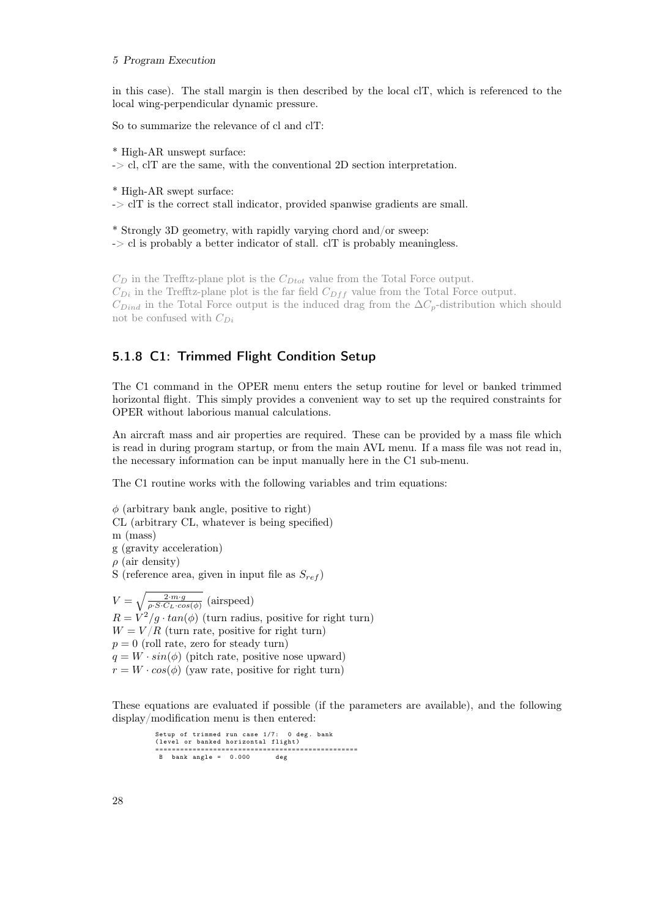#### 5 Program Execution

in this case). The stall margin is then described by the local clT, which is referenced to the local wing-perpendicular dynamic pressure.

So to summarize the relevance of cl and clT:

\* High-AR unswept surface:

 $\sim$  cl, clT are the same, with the conventional 2D section interpretation.

\* High-AR swept surface:

 $\sim$  clT is the correct stall indicator, provided spanwise gradients are small.

\* Strongly 3D geometry, with rapidly varying chord and/or sweep:

 $\rightarrow$  cl is probably a better indicator of stall. clT is probably meaningless.

 $C_D$  in the Trefftz-plane plot is the  $C_{Dtot}$  value from the Total Force output.  $C_{Di}$  in the Trefftz-plane plot is the far field  $C_{Diff}$  value from the Total Force output.  $C_{Dind}$  in the Total Force output is the induced drag from the  $\Delta C_p$ -distribution which should not be confused with  $C_{Di}$ 

## <span id="page-35-0"></span>5.1.8 C1: Trimmed Flight Condition Setup

The C1 command in the OPER menu enters the setup routine for level or banked trimmed horizontal flight. This simply provides a convenient way to set up the required constraints for OPER without laborious manual calculations.

An aircraft mass and air properties are required. These can be provided by a mass file which is read in during program startup, or from the main AVL menu. If a mass file was not read in, the necessary information can be input manually here in the C1 sub-menu.

The C1 routine works with the following variables and trim equations:

 $\phi$  (arbitrary bank angle, positive to right) CL (arbitrary CL, whatever is being specified) m (mass) g (gravity acceleration)  $\rho$  (air density) S (reference area, given in input file as  $S_{ref}$ )  $V = \sqrt{\frac{2 \cdot m \cdot g}{\rho \cdot S \cdot C_L \cdot cos(\phi)}}$  (airspeed)  $R = V^2/g \cdot \tan(\phi)$  (turn radius, positive for right turn)  $W = V/R$  (turn rate, positive for right turn)

 $p = 0$  (roll rate, zero for steady turn)

 $q = W \cdot sin(\phi)$  (pitch rate, positive nose upward)

 $r = W \cdot cos(\phi)$  (yaw rate, positive for right turn)

These equations are evaluated if possible (if the parameters are available), and the following display/modification menu is then entered:

Setup of trimmed run case 1/7: 0 deg. bank ( level or banked horizontal flight ) ================================================= B bank angle = 0.000 deg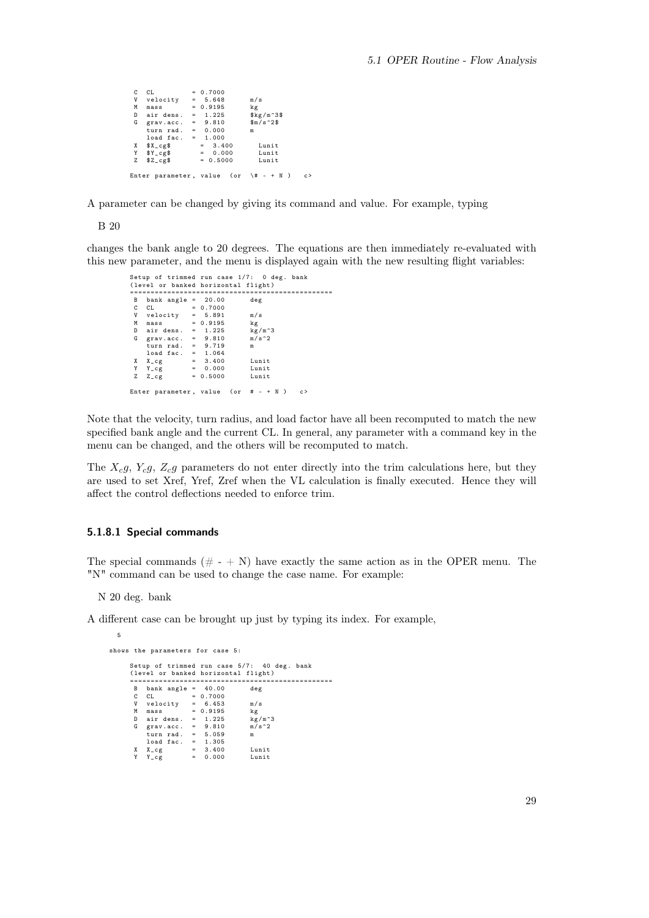$CL$  = 0.7000<br>V velocity = 5.648 V velocity = 5.648 m/s<br>M mass = 0.9195 kg<br>D airdens. = 1.225 \$kg/m^3\$ G grav.acc. =  $9.810$   $\frac{25}{10}$   $\frac{1}{2}$ turn rad . = 0.000 m load fac . = 1.000 X \$X\_cg\$ = 3.400 Lunit Y \$Y\_cg\$ = 0.000 Lunit  $Z$   $Z_{c}g$  = 0.5000 Lunit Enter parameter, value (or  $\forall$  + - + N ) c>

A parameter can be changed by giving its command and value. For example, typing

B 20

changes the bank angle to 20 degrees. The equations are then immediately re-evaluated with this new parameter, and the menu is displayed again with the new resulting flight variables:

```
Setup of trimmed run case 1/7: 0 deg . bank
( level or banked horizontal flight )
=================================================
  B bank angle = 20.00 deg
C CL = 0.7000
 W velocity = 5.891 m/s<br>
M mass = 0.9195 kg<br>
D air dens. = 1.225 kg/m<sup>-3</sup>
  M mass = 0.9195 kg
D air dens . = 1.225 kg /m ^3
G grav . acc . = 9.810 m/ s ^2
      turn rad. = 9.719 m<br>load fac. = 1.064load fac.<br>X_cg
 X = 2cg = 3.400 Lunit<br>
Y = 0.000 Lunit
 Y = Y = cg = 0.000 Lunit<br>
Z = Z = cg = 0.5000 Lunit
                          = 0.5000Enter parameter, value (or # - + N) c)
```
Note that the velocity, turn radius, and load factor have all been recomputed to match the new specified bank angle and the current CL. In general, any parameter with a command key in the menu can be changed, and the others will be recomputed to match.

The  $X_c$ g,  $Y_c$ g,  $Z_c$ g parameters do not enter directly into the trim calculations here, but they are used to set Xref, Yref, Zref when the VL calculation is finally executed. Hence they will affect the control deflections needed to enforce trim.

#### <span id="page-36-0"></span>5.1.8.1 Special commands

The special commands  $(\# - \mathbb{R})$  have exactly the same action as in the OPER menu. The "N" command can be used to change the case name. For example:

N 20 deg. bank

5

A different case can be brought up just by typing its index. For example,

```
shows the parameters for case 5:
      Setup of trimmed run case 5/7: 40 deg. bank
      (level or banked horizontal flight)
       =================================================
          bank angle = 40.00C CL = 0.7000
V velocity = 6.453 m/ s
M mass = 0.9195 kg
        D air dens . = 1.225 kg /m ^3
G grav . acc . = 9.810 m/ s ^2
           turn rad. = 5.059 m
        load fac . = 1.305
X X_cg = 3.400 Lunit
Y Y_cg = 0.000 Lunit
```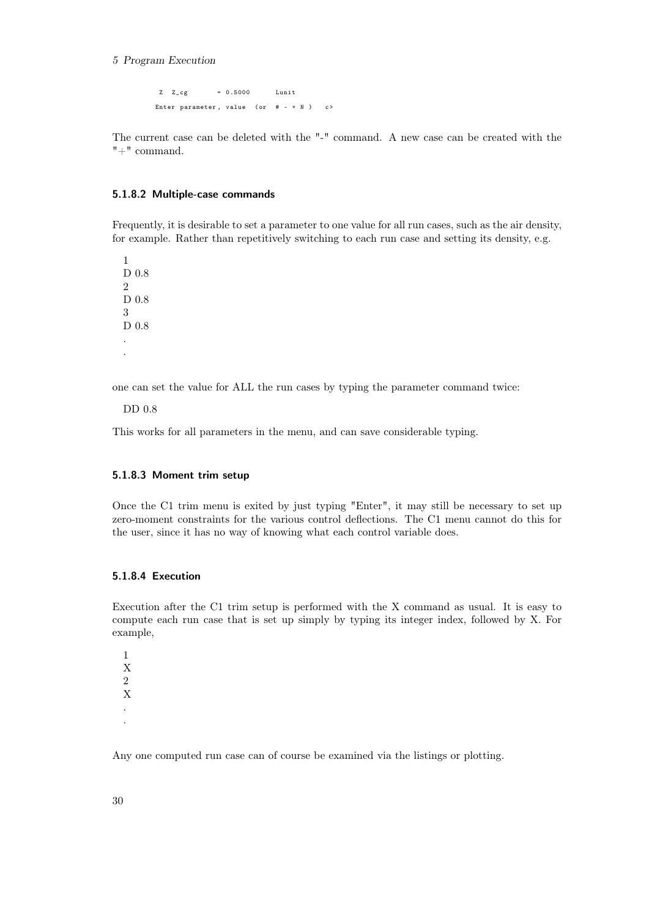#### 5 Program Execution

 $Z \t Z_c$ g = 0.5000 Lunit Enter parameter, value (or  $# - + N$ ) c>

The current case can be deleted with the "-" command. A new case can be created with the "+" command.

#### <span id="page-37-0"></span>5.1.8.2 Multiple-case commands

Frequently, it is desirable to set a parameter to one value for all run cases, such as the air density, for example. Rather than repetitively switching to each run case and setting its density, e.g.

1 D 0.8  $\mathfrak{D}$ D 0.8 3 D 0.8 . .

one can set the value for ALL the run cases by typing the parameter command twice:

DD 0.8

This works for all parameters in the menu, and can save considerable typing.

## <span id="page-37-1"></span>5.1.8.3 Moment trim setup

Once the C1 trim menu is exited by just typing "Enter", it may still be necessary to set up zero-moment constraints for the various control deflections. The C1 menu cannot do this for the user, since it has no way of knowing what each control variable does.

## <span id="page-37-2"></span>5.1.8.4 Execution

Execution after the C1 trim setup is performed with the X command as usual. It is easy to compute each run case that is set up simply by typing its integer index, followed by X. For example,

1 X 2 X . .

Any one computed run case can of course be examined via the listings or plotting.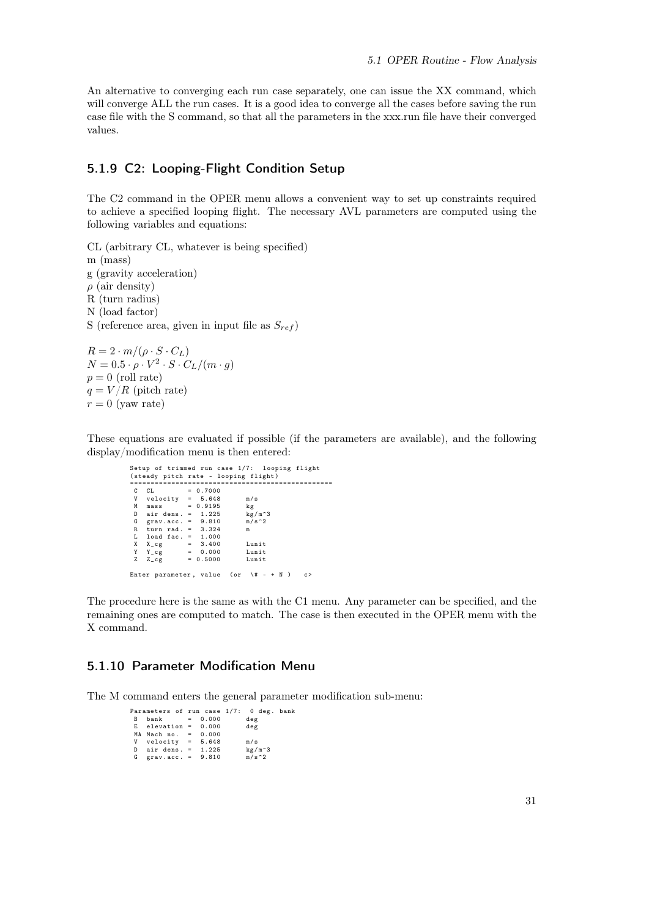An alternative to converging each run case separately, one can issue the XX command, which will converge ALL the run cases. It is a good idea to converge all the cases before saving the run case file with the S command, so that all the parameters in the xxx.run file have their converged values.

## <span id="page-38-0"></span>5.1.9 C2: Looping-Flight Condition Setup

The C2 command in the OPER menu allows a convenient way to set up constraints required to achieve a specified looping flight. The necessary AVL parameters are computed using the following variables and equations:

CL (arbitrary CL, whatever is being specified) m (mass) g (gravity acceleration)  $\rho$  (air density) R (turn radius) N (load factor) S (reference area, given in input file as  $S_{ref}$ )

 $R = 2 \cdot m / (\rho \cdot S \cdot C_L)$  $N=0.5\cdot\rho\cdot V^2\cdot S\cdot C_L/(m\cdot g)$  $p = 0$  (roll rate)  $q = V/R$  (pitch rate)  $r = 0$  (yaw rate)

These equations are evaluated if possible (if the parameters are available), and the following display/modification menu is then entered:

|   |                                          |  | Setup of trimmed run case 1/7: looping flight |   |
|---|------------------------------------------|--|-----------------------------------------------|---|
|   |                                          |  | (steady pitch rate - looping flight)          |   |
|   |                                          |  |                                               |   |
|   | $CL = 0.7000$                            |  |                                               |   |
|   | $V$ velocity = $5.648$                   |  | m/s                                           |   |
| M | $mass = 0.9195$                          |  | kg                                            |   |
|   | D air dens. = $1.225$ kg/m <sup>-3</sup> |  |                                               |   |
|   | G grav.acc. = $9.810$ m/s <sup>2</sup>   |  |                                               |   |
| R | turn rad. $= 3.324$                      |  | m                                             |   |
|   | $L$ load fac. = 1.000                    |  |                                               |   |
|   | $X \tX_c g = 3.400$                      |  | Lunit                                         |   |
|   | $Y Y_c g = 0.000$ Lunit                  |  |                                               |   |
| z | $Z_{\text{C}}$ = 0.5000                  |  | Lunit                                         |   |
|   |                                          |  |                                               |   |
|   |                                          |  | Enter parameter, value (or $\forall$ # - + N) | c |

The procedure here is the same as with the C1 menu. Any parameter can be specified, and the remaining ones are computed to match. The case is then executed in the OPER menu with the X command.

## <span id="page-38-1"></span>5.1.10 Parameter Modification Menu

The M command enters the general parameter modification sub-menu:

|   | Parameters of run case 1/7: 0 deg. bank |  |          |  |
|---|-----------------------------------------|--|----------|--|
| B | $bank = 0.000$                          |  | deg      |  |
|   | $E$ elevation = $0.000$                 |  | deg      |  |
|   | $MA$ Mach no. = $0.000$                 |  |          |  |
|   | V velocity = $5.648$                    |  | m/s      |  |
|   | D air dens. $=$ 1.225                   |  | $kg/m^3$ |  |
|   | G grav.acc. = $9.810$                   |  | $m/s^2$  |  |
|   |                                         |  |          |  |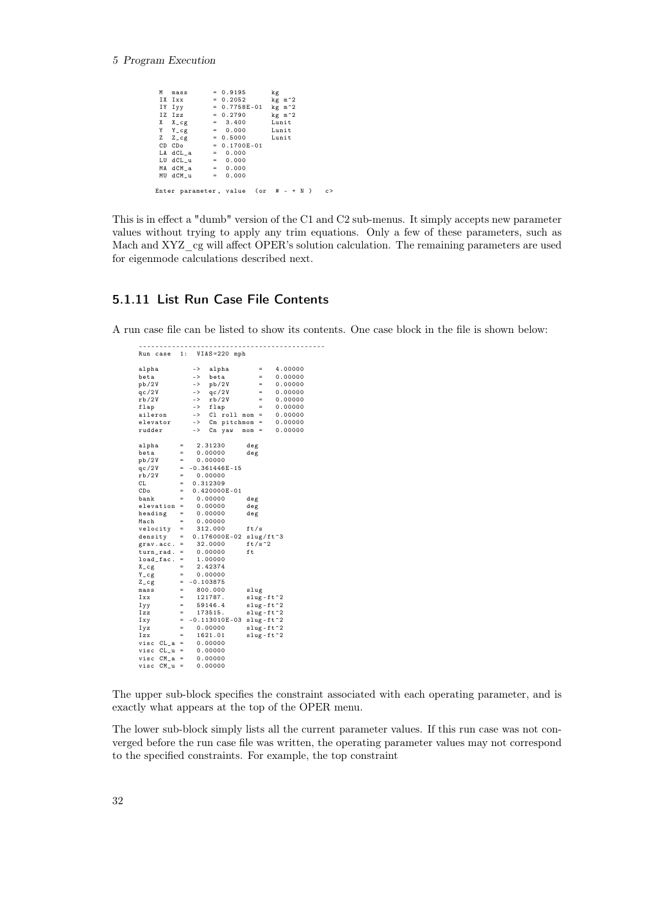#### 5 Program Execution

M mass = 0.9195 kg<br>IX Ixx = 0.2052 kg<br>IY Iyy = 0.7758E-01 kg IX Ixx = 0.2052 kg m ^2 IY Iyy = 0.7758 E -01 kg m ^2  $\begin{array}{rcl} \text{IN } \text{I} \text{X} & \text{I} & \text{I} & \text{I} & \text{I} \\ \text{IN } \text{I} & \text{I} & \text{I} & \text{I} & \text{I} & \text{I} \\ \text{IV } \text{I} & \text{I} & \text{I} & \text{I} & \text{I} & \text{I} & \text{I} \\ \text{IV } \text{I} & \text{I} & \text{I} & \text{I} & \text{I} & \text{I} & \text{I} \\ \text{IV } \text{I} & \text{I} & \text{I} & \text{I} & \text{I} & \text$  $= 3.400$  Lunit<br> $= 0.000$  Lunit Y Y\_cg = 0.000 Lunit  $= 0.5000$  Lunit<br>= 0.1700F-01  $CD CD = 0.1700E - 01$  $LA$  dCL\_a = 0.000<br>LU dCL\_u = 0.000 LU  $dCL_{u}$  = 0.000<br>MA  $dCM_{a}$  = 0.000  $MA dCM_a$  = 0.000<br>MU dCM\_u = 0.000  $MU$   $dCM_u$ Enter parameter, value  $(ar \# - + N)$  c>

This is in effect a "dumb" version of the C1 and C2 sub-menus. It simply accepts new parameter values without trying to apply any trim equations. Only a few of these parameters, such as Mach and XYZ cg will affect OPER's solution calculation. The remaining parameters are used for eigenmode calculations described next.

## <span id="page-39-0"></span>5.1.11 List Run Case File Contents

A run case file can be listed to show its contents. One case block in the file is shown below:

--------------------------------------------- Run case 1: VIAS =220 mph alpha -> alpha = 4.00000<br>beta -> beta = 0.00000 beta -> beta = 0.00000  $pb / 2V$  ->  $pb / 2V$ <br>qc/2V -> qc/2V  $q_2/2V$  ->  $q_2/2V$  = 0.000000<br>  $r b/2V$  ->  $r b/2V$  = 0.000000<br>
flap -> flap = 0.000000  $0.00000$ <br> $0.00000$ flap -> flap = 0.00000 aileron -> Cl roll mom = 0.00000 elevator -> Cm pitchmom = 0.000000<br>
rudder -> Cm pitchmom = 0.00000<br>
rudder -> Cn vaw mom = 0.00000  $\Rightarrow$  Cn yaw mom = alpha =  $2.31230$  deg<br>beta =  $0.00000$  deg<br>pb/2V =  $0.00000$  $0.00000$  $pb / 2V$  = 0.00000<br>qc/2V = -0.361446  $qc/2V = -0.361446E-15$ <br>  $rb/2V = 0.00000$  $\begin{array}{rcl} \text{rb}/2V & = & 0.00000 \\ \text{CL} & = & 0.312309 \end{array}$  $CL$  = 0.312309<br>  $CD<sub>o</sub>$  = 0.420000 CDo =  $0.420000E-01$ <br>bank = 0.00000 0.00000 deg<br>0.00000 deg elevation =  $0.00000$  deg<br>heading =  $0.00000$  deg ers...<br>heading<br>Mach  $0.00000$ <br> $312.000$ velocity =  $312.000$  ft/s<br>density =  $0.176000E-02$  slue density =  $0.176000E - 02$  slug/ft<sup>-3</sup><br>grav.acc. =  $32.0000$  ft/s<sup>-2</sup>  $\begin{array}{rcl}\n\text{grav}.\text{acc.} & = & 32.0000 \qquad \text{ft} \\
\text{turn rad.} & = & 0.00000 \qquad \text{ft}\n\end{array}$  $turn\_rad$ . = 0.00000<br> $load\_fac$ . = 1.00000  $\overline{\begin{smallmatrix} 1 & 0 & 0 \\ 1 & 0 & 0 \\ 0 & 0 & 0 \\ 0 & 0 & 0 \\ 0 & 0 & 0 \\ 0 & 0 & 0 \\ 0 & 0 & 0 \\ 0 & 0 & 0 \\ 0 & 0 & 0 \\ 0 & 0 & 0 \\ 0 & 0 & 0 \\ 0 & 0 & 0 \\ 0 & 0 & 0 \\ 0 & 0 & 0 \\ 0 & 0 & 0 \\ 0 & 0 & 0 \\ 0 & 0 & 0 \\ 0 & 0 & 0 \\ 0 & 0 & 0 & 0 \\ 0 & 0 & 0 & 0 \\ 0 & 0 & 0 & 0 \\ 0 & 0 & 0 & 0 \\$  $2.42374$  $Y_{-}c_{g}$  $Z_{\texttt{-cg}} = -0.103875$ <br>mass = 800.000  $mass = 800.000$ <br>  $Ixx = 121787.$  $\begin{array}{rcl} \text{mass} & = & 800.000 & \text{slug} \\ \text{mass} & = & 800.000 & \text{slug} \\ \text{Ixx} & = & 121787. & \text{slug-fit-2} \\ \text{Iyy} & = & 59146.4 & \text{slug-fit-2} \end{array}$ Iyy = 59146.4 slug - ft ^2 Izz = 173515. slug - ft ^2 Ixy =  $-0.113010E - 03$  slug-ft  $2$ <br>Iyz = 0.00000 slug-ft  $2$  $Iyz = 0.00000$   $Iyz = 1621.01$   $Izx = 1621.01$   $Iyz = 1621.01$  $1621.01$  slug-ft  $2$ <br>0.00000 visc  $CL_a = 0.00000$ <br>visc  $CL_u = 0.00000$ visc CL\_u = 0.00000 visc CM\_a = 0.00000 visc  $CM$  u = 0.00000

The upper sub-block specifies the constraint associated with each operating parameter, and is exactly what appears at the top of the OPER menu.

The lower sub-block simply lists all the current parameter values. If this run case was not converged before the run case file was written, the operating parameter values may not correspond to the specified constraints. For example, the top constraint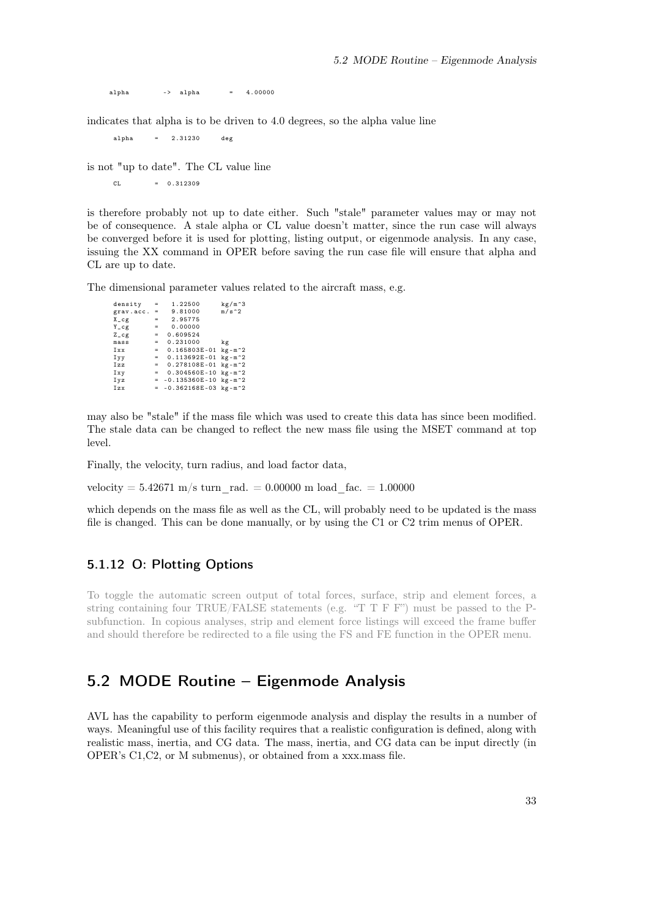alpha  $-$  alpha =  $4.00000$ 

indicates that alpha is to be driven to 4.0 degrees, so the alpha value line

alpha = 2.31230 deg

is not "up to date". The CL value line

 $CL = 0.312309$ 

is therefore probably not up to date either. Such "stale" parameter values may or may not be of consequence. A stale alpha or CL value doesn't matter, since the run case will always be converged before it is used for plotting, listing output, or eigenmode analysis. In any case, issuing the XX command in OPER before saving the run case file will ensure that alpha and CL are up to date.

The dimensional parameter values related to the aircraft mass, e.g.

density =  $1.22500$  kg/m<sup>-3</sup><br>grav.acc. =  $9.81000$  m/s<sup>-2</sup><br>X<sub>-</sub>cg =  $2.95775$ grav . acc . = 9.81000 m /s ^2 X\_cg = 2.95775  $Y_{-}cg$  = 0.00000  $Z_{-}cg$  = 0.609524<br>mass = 0.231000 mass = 0.231000 kg Ixx = 0.165803 E -01 kg - m ^2 Iyy = 0.113692E-01 kg-m^2<br>Izz = 0.278108E-01 kg-m^2  $Ixy = 0.304560E - 10 kg - m^2$  $Iyz$  = -0.135360 E-10 kg - m<sup>-2</sup><br> $Izx$  = -0.362168 E-03 kg - m<sup>-2</sup>  $-0.362168E - 03$  kg -m<sup>-2</sup>

may also be "stale" if the mass file which was used to create this data has since been modified. The stale data can be changed to reflect the new mass file using the MSET command at top level.

Finally, the velocity, turn radius, and load factor data,

velocity =  $5.42671 \text{ m/s}$  turn rad. = 0.00000 m load fac. = 1.00000

which depends on the mass file as well as the CL, will probably need to be updated is the mass file is changed. This can be done manually, or by using the C1 or C2 trim menus of OPER.

## <span id="page-40-0"></span>5.1.12 O: Plotting Options

To toggle the automatic screen output of total forces, surface, strip and element forces, a string containing four TRUE/FALSE statements (e.g. "T T F F") must be passed to the Psubfunction. In copious analyses, strip and element force listings will exceed the frame buffer and should therefore be redirected to a file using the FS and FE function in the OPER menu.

# <span id="page-40-1"></span>5.2 MODE Routine – Eigenmode Analysis

AVL has the capability to perform eigenmode analysis and display the results in a number of ways. Meaningful use of this facility requires that a realistic configuration is defined, along with realistic mass, inertia, and CG data. The mass, inertia, and CG data can be input directly (in OPER's C1,C2, or M submenus), or obtained from a xxx.mass file.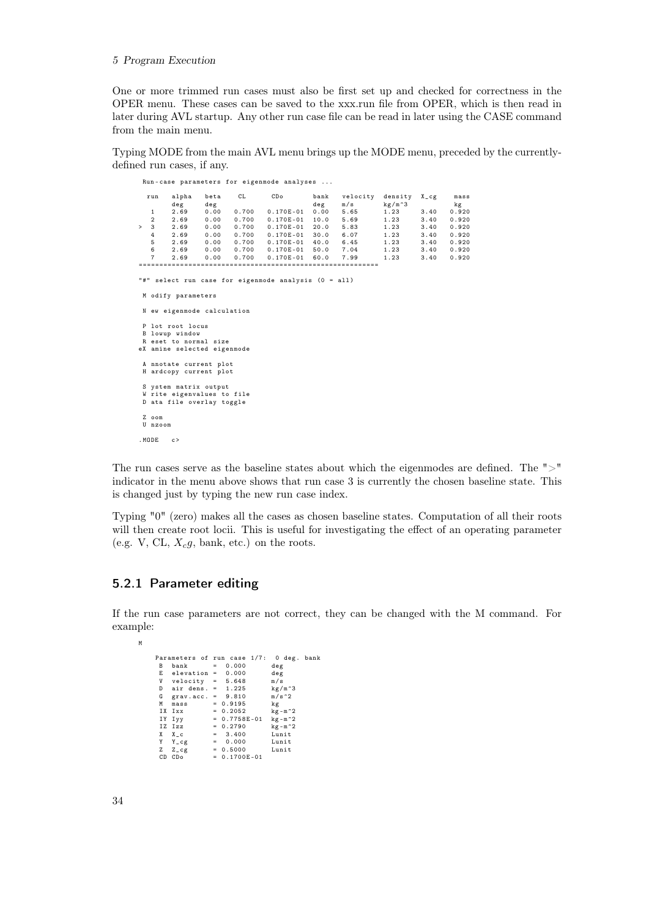#### 5 Program Execution

One or more trimmed run cases must also be first set up and checked for correctness in the OPER menu. These cases can be saved to the xxx.run file from OPER, which is then read in later during AVL startup. Any other run case file can be read in later using the CASE command from the main menu.

Typing MODE from the main AVL menu brings up the MODE menu, preceded by the currentlydefined run cases, if any.

|        |                |                             |             |                 | Run-case parameters for eigenmode analyses           |             |                 |                               |            |            |
|--------|----------------|-----------------------------|-------------|-----------------|------------------------------------------------------|-------------|-----------------|-------------------------------|------------|------------|
|        | run            | alpha<br>deg                | beta<br>deg | CL              | CDo                                                  | bank<br>deg | velocity<br>m/s | density<br>kg/m <sup>-3</sup> | $X_{-}$ cg | mass<br>kg |
|        | 1              | 2.69                        | 0.00        |                 | $0.700$ $0.170E-01$                                  | 0.00        | 5.65            | 1.23                          | 3.40       | 0.920      |
|        | $\overline{2}$ | 2.69                        | 0.00        |                 | 0.700  0.170E-01                                     |             | 10.0 5.69       | 1.23                          | 3.40       | 0.920      |
| $\geq$ | 3              | 2.69                        | 0.00        |                 | 0.700 0.170E-01                                      |             | $20.0$ 5.83     | 1.23                          | 3.40       | 0.920      |
|        | $4^{\circ}$    | 2.69                        |             |                 | 0.00 0.700 0.170E-01                                 |             | 30.0 6.07       | 1.23                          | 3.40       | 0.920      |
|        | 5              |                             |             |                 | 2.69  0.00  0.700  0.170E-01                         |             | 40.0 6.45       | 1.23                          | 3.40       | 0.920      |
|        | 6              | 2.69                        |             |                 | 0.00  0.700  0.170E-01  50.0  7.04                   |             |                 | 1.23                          | 3.40       | 0.920      |
|        | $\overline{7}$ | 2.69                        |             | $0.00 \t 0.700$ | $0.170E-01$                                          |             | 60.0 7.99       | 1.23                          | 3.40       | 0.920      |
|        |                |                             |             |                 |                                                      |             |                 |                               |            |            |
|        |                |                             |             |                 |                                                      |             |                 |                               |            |            |
|        |                |                             |             |                 | "#" select run case for eigenmode analysis (0 = all) |             |                 |                               |            |            |
|        |                |                             |             |                 |                                                      |             |                 |                               |            |            |
|        |                | M odify parameters          |             |                 |                                                      |             |                 |                               |            |            |
|        |                |                             |             |                 |                                                      |             |                 |                               |            |            |
|        |                | N ew eigenmode calculation  |             |                 |                                                      |             |                 |                               |            |            |
|        |                |                             |             |                 |                                                      |             |                 |                               |            |            |
|        |                | P lot root locus            |             |                 |                                                      |             |                 |                               |            |            |
|        |                | B lowup window              |             |                 |                                                      |             |                 |                               |            |            |
|        |                | R eset to normal size       |             |                 |                                                      |             |                 |                               |            |            |
|        |                | eX amine selected eigenmode |             |                 |                                                      |             |                 |                               |            |            |
|        |                |                             |             |                 |                                                      |             |                 |                               |            |            |
|        |                | A nnotate current plot      |             |                 |                                                      |             |                 |                               |            |            |
|        |                | H ardcopy current plot      |             |                 |                                                      |             |                 |                               |            |            |
|        |                |                             |             |                 |                                                      |             |                 |                               |            |            |
|        |                | S ystem matrix output       |             |                 |                                                      |             |                 |                               |            |            |
|        |                | W rite eigenvalues to file  |             |                 |                                                      |             |                 |                               |            |            |
|        |                | D ata file overlay toggle   |             |                 |                                                      |             |                 |                               |            |            |
|        | Z oom          |                             |             |                 |                                                      |             |                 |                               |            |            |
|        |                |                             |             |                 |                                                      |             |                 |                               |            |            |
|        | U nzoom        |                             |             |                 |                                                      |             |                 |                               |            |            |
|        | . MODE         | c >                         |             |                 |                                                      |             |                 |                               |            |            |

The run cases serve as the baseline states about which the eigenmodes are defined. The " $>$ " indicator in the menu above shows that run case 3 is currently the chosen baseline state. This is changed just by typing the new run case index.

Typing "0" (zero) makes all the cases as chosen baseline states. Computation of all their roots will then create root locii. This is useful for investigating the effect of an operating parameter (e.g. V, CL,  $X_c$ g, bank, etc.) on the roots.

## <span id="page-41-0"></span>5.2.1 Parameter editing

If the run case parameters are not correct, they can be changed with the M command. For example:

M

```
Parameters of run case 1/7: 0 deg. bank<br>
B bank = 0.000 deg<br>
E elevation = 0.000 deg
  B bank = 0.000 deg
E elevation = 0.000 deg
  V velocity = 5.648 m/s
D air dens . = 1.225 kg / m ^3
 account to the set of the set of the set of the set of the set of the set of the set of the set of the set of the set of the set of the set of the set of the set of the set of the set of the set of the set of the set of th
  M mass = 0.9195 kg
IX Ixx = 0.2052 kg -m ^2
   IY Iyy = 0.7758 E -01 kg -m ^2
IZ Izz = 0.2790 kg -m ^2
  X X_c = 3.400 Lunit
Y Y_cg = 0.000 Lunit
  Z = 2 \text{ g} = 0.5000 Lunit<br>CD CDo = 0.1700E-01
                              = 0.1700E - 01
```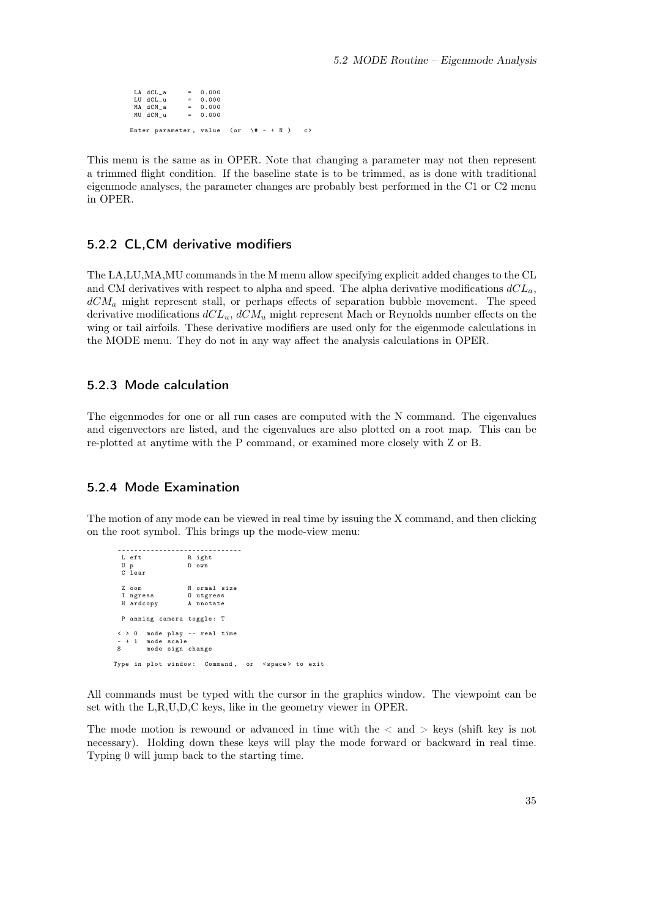$\begin{array}{ccccccccc} LA & dCL\_a & = & 0.000 \\ LU & dCL\_u & = & 0.000 \\ MA & dCM\_a & = & 0.000 \end{array}$ LU dCL\_u = 0.000 MA dCM\_a = 0.000  $MU$  dCM  $u = 0.000$ Enter parameter, value (or  $\forall$  + - + N ) c>

This menu is the same as in OPER. Note that changing a parameter may not then represent a trimmed flight condition. If the baseline state is to be trimmed, as is done with traditional eigenmode analyses, the parameter changes are probably best performed in the C1 or C2 menu in OPER.

## <span id="page-42-0"></span>5.2.2 CL,CM derivative modifiers

The LA,LU,MA,MU commands in the M menu allow specifying explicit added changes to the CL and CM derivatives with respect to alpha and speed. The alpha derivative modifications  $dCL_a$ ,  $dCM<sub>a</sub>$  might represent stall, or perhaps effects of separation bubble movement. The speed derivative modifications  $dCL_u$ ,  $dCM_u$  might represent Mach or Reynolds number effects on the wing or tail airfoils. These derivative modifiers are used only for the eigenmode calculations in the MODE menu. They do not in any way affect the analysis calculations in OPER.

## <span id="page-42-1"></span>5.2.3 Mode calculation

The eigenmodes for one or all run cases are computed with the N command. The eigenvalues and eigenvectors are listed, and the eigenvalues are also plotted on a root map. This can be re-plotted at anytime with the P command, or examined more closely with Z or B.

## <span id="page-42-2"></span>5.2.4 Mode Examination

The motion of any mode can be viewed in real time by issuing the X command, and then clicking on the root symbol. This brings up the mode-view menu:

------------------------------ L eft R ight<br>Up D own U p D own C lear Z oom N ormal size<br>I ngress 0 utgress I ngress O utgress A nnotate P anning camera toggle: T < > 0 mode play -- real time  $- + 1$  mode scale<br>S mode sign mode sign change Type in plot window: Command, or <space> to exit

All commands must be typed with the cursor in the graphics window. The viewpoint can be set with the L,R,U,D,C keys, like in the geometry viewer in OPER.

The mode motion is rewound or advanced in time with the  $\langle$  and  $\rangle$  keys (shift key is not necessary). Holding down these keys will play the mode forward or backward in real time. Typing 0 will jump back to the starting time.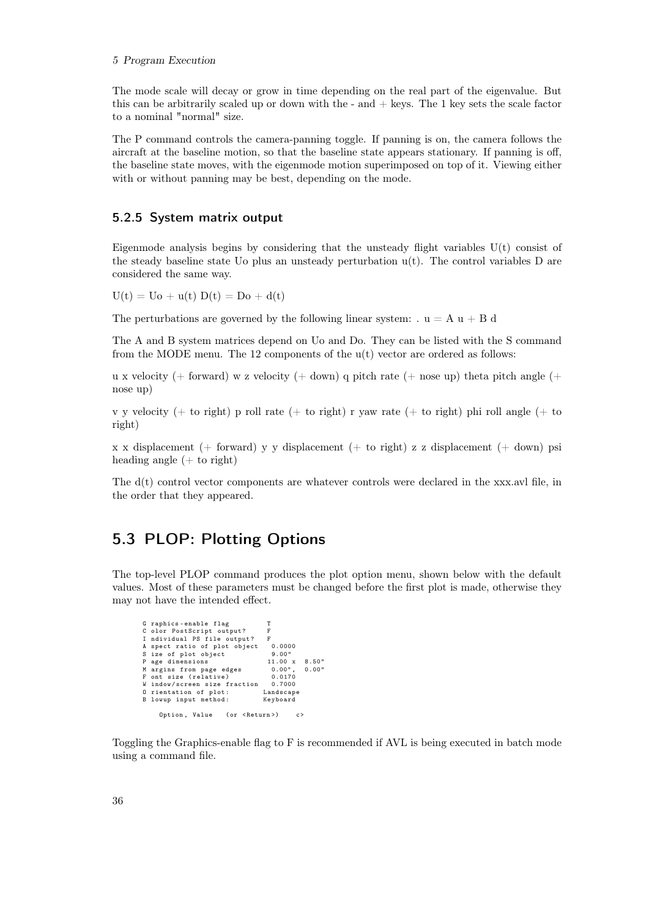#### 5 Program Execution

The mode scale will decay or grow in time depending on the real part of the eigenvalue. But this can be arbitrarily scaled up or down with the - and  $+$  keys. The 1 key sets the scale factor to a nominal "normal" size.

The P command controls the camera-panning toggle. If panning is on, the camera follows the aircraft at the baseline motion, so that the baseline state appears stationary. If panning is off, the baseline state moves, with the eigenmode motion superimposed on top of it. Viewing either with or without panning may be best, depending on the mode.

## <span id="page-43-0"></span>5.2.5 System matrix output

Eigenmode analysis begins by considering that the unsteady flight variables  $U(t)$  consist of the steady baseline state Uo plus an unsteady perturbation  $u(t)$ . The control variables D are considered the same way.

 $U(t) = Uo + u(t) D(t) = Do + d(t)$ 

The perturbations are governed by the following linear system:  $u = A u + B d$ 

The A and B system matrices depend on Uo and Do. They can be listed with the S command from the MODE menu. The 12 components of the u(t) vector are ordered as follows:

u x velocity (+ forward) w z velocity (+ down) q pitch rate (+ nose up) theta pitch angle (+ nose up)

v y velocity (+ to right) p roll rate (+ to right) r yaw rate (+ to right) phi roll angle (+ to right)

x x displacement (+ forward) y y displacement (+ to right) z z displacement (+ down) psi heading angle  $(+)$  to right)

The d(t) control vector components are whatever controls were declared in the xxx.avl file, in the order that they appeared.

## <span id="page-43-1"></span>5.3 PLOP: Plotting Options

The top-level PLOP command produces the plot option menu, shown below with the default values. Most of these parameters must be changed before the first plot is made, otherwise they may not have the intended effect.

| G raphics-enable flag                | т                     |  |
|--------------------------------------|-----------------------|--|
| C olor PostScript output?            | F                     |  |
| I ndividual PS file output?          | F                     |  |
| A spect ratio of plot object         | 0.0000                |  |
| S ize of plot object                 | 9.00"                 |  |
| P age dimensions                     | $11.00 \times 8.50$ " |  |
| M argins from page edges             | $0.00"$ , $0.00"$     |  |
| F ont size (relative)                | 0.0170                |  |
| W indow/screen size fraction 0.7000  |                       |  |
| 0 rientation of plot:                | Landscape             |  |
| B lowup input method:                | Keyboard              |  |
|                                      |                       |  |
| Option, Value (or <return>)</return> | c                     |  |

Toggling the Graphics-enable flag to F is recommended if AVL is being executed in batch mode using a command file.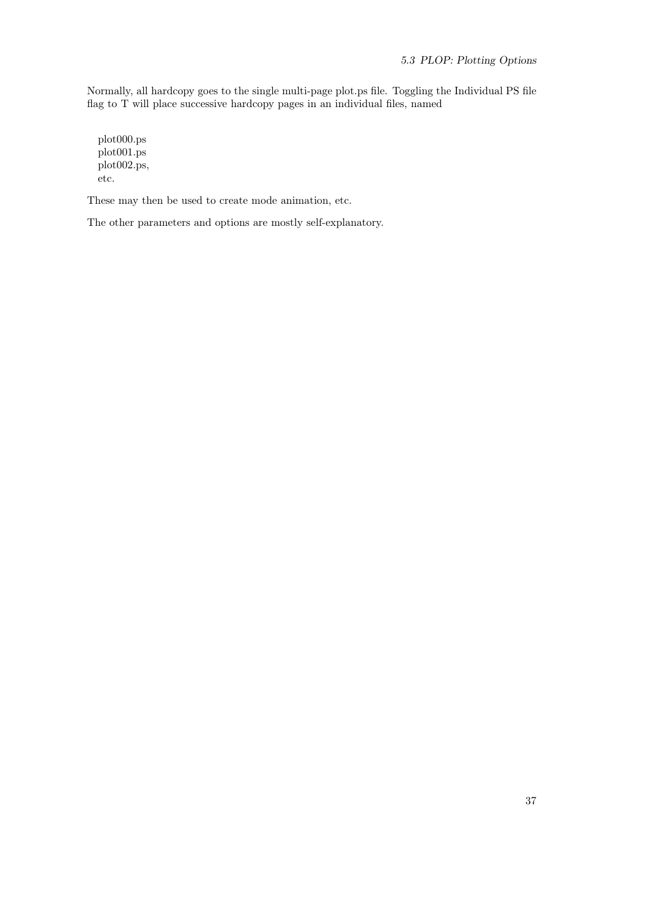Normally, all hardcopy goes to the single multi-page plot.ps file. Toggling the Individual PS file flag to T will place successive hardcopy pages in an individual files, named

plot000.ps plot001.ps plot002.ps, etc.

These may then be used to create mode animation, etc.

The other parameters and options are mostly self-explanatory.